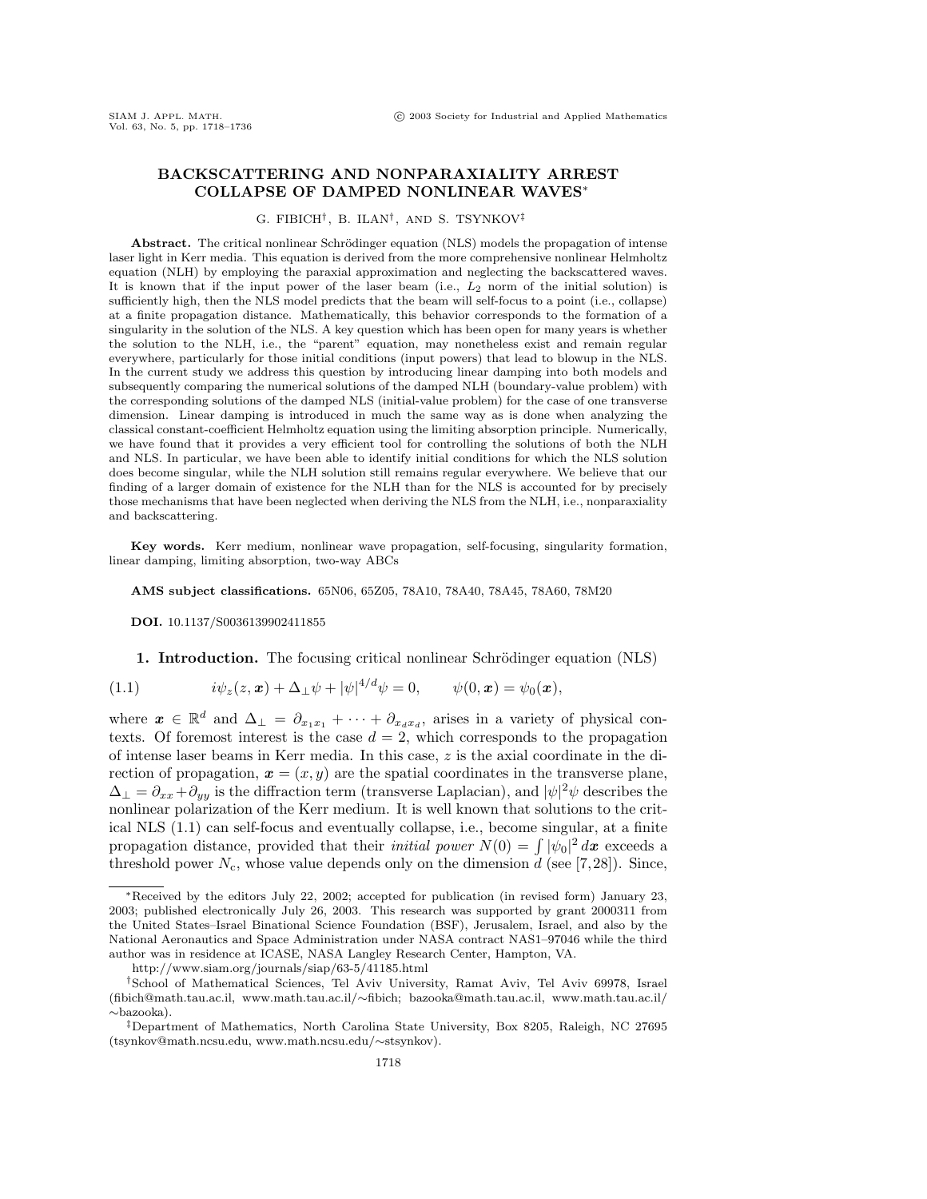## **BACKSCATTERING AND NONPARAXIALITY ARREST COLLAPSE OF DAMPED NONLINEAR WAVES**<sup>∗</sup>

G. FIBICH†, B. ILAN†, AND S. TSYNKOV‡

Abstract. The critical nonlinear Schrödinger equation (NLS) models the propagation of intense laser light in Kerr media. This equation is derived from the more comprehensive nonlinear Helmholtz equation (NLH) by employing the paraxial approximation and neglecting the backscattered waves. It is known that if the input power of the laser beam (i.e.,  $L_2$  norm of the initial solution) is sufficiently high, then the NLS model predicts that the beam will self-focus to a point (i.e., collapse) at a finite propagation distance. Mathematically, this behavior corresponds to the formation of a singularity in the solution of the NLS. A key question which has been open for many years is whether the solution to the NLH, i.e., the "parent" equation, may nonetheless exist and remain regular everywhere, particularly for those initial conditions (input powers) that lead to blowup in the NLS. In the current study we address this question by introducing linear damping into both models and subsequently comparing the numerical solutions of the damped NLH (boundary-value problem) with the corresponding solutions of the damped NLS (initial-value problem) for the case of one transverse dimension. Linear damping is introduced in much the same way as is done when analyzing the classical constant-coefficient Helmholtz equation using the limiting absorption principle. Numerically, we have found that it provides a very efficient tool for controlling the solutions of both the NLH and NLS. In particular, we have been able to identify initial conditions for which the NLS solution does become singular, while the NLH solution still remains regular everywhere. We believe that our finding of a larger domain of existence for the NLH than for the NLS is accounted for by precisely those mechanisms that have been neglected when deriving the NLS from the NLH, i.e., nonparaxiality and backscattering.

**Key words.** Kerr medium, nonlinear wave propagation, self-focusing, singularity formation, linear damping, limiting absorption, two-way ABCs

**AMS subject classifications.** 65N06, 65Z05, 78A10, 78A40, 78A45, 78A60, 78M20

**DOI.** 10.1137/S0036139902411855

**1. Introduction.** The focusing critical nonlinear Schrödinger equation (NLS)

(1.1) 
$$
i\psi_z(z, \pmb{x}) + \Delta_{\perp} \psi + |\psi|^{4/d} \psi = 0, \qquad \psi(0, \pmb{x}) = \psi_0(\pmb{x}),
$$

where  $x \in \mathbb{R}^d$  and  $\Delta_{\perp} = \partial_{x_1x_1} + \cdots + \partial_{x_dx_d}$ , arises in a variety of physical contexts. Of foremost interest is the case  $d = 2$ , which corresponds to the propagation of intense laser beams in Kerr media. In this case, z is the axial coordinate in the direction of propagation,  $\mathbf{x} = (x, y)$  are the spatial coordinates in the transverse plane,  $\Delta_{\perp} = \partial_{xx} + \partial_{yy}$  is the diffraction term (transverse Laplacian), and  $|\psi|^2 \psi$  describes the nonlinear polarization of the Kerr medium. It is well known that solutions to the critical NLS (1.1) can self-focus and eventually collapse, i.e., become singular, at a finite propagation distance, provided that their *initial power*  $N(0) = \int |\psi_0|^2 d\mathbf{x}$  exceeds a threshold power  $N_c$ , whose value depends only on the dimension d (see [7,28]). Since,

<sup>∗</sup>Received by the editors July 22, 2002; accepted for publication (in revised form) January 23, 2003; published electronically July 26, 2003. This research was supported by grant 2000311 from the United States–Israel Binational Science Foundation (BSF), Jerusalem, Israel, and also by the National Aeronautics and Space Administration under NASA contract NAS1–97046 while the third author was in residence at ICASE, NASA Langley Research Center, Hampton, VA.

http://www.siam.org/journals/siap/63-5/41185.html

<sup>†</sup>School of Mathematical Sciences, Tel Aviv University, Ramat Aviv, Tel Aviv 69978, Israel (fibich@math.tau.ac.il, www.math.tau.ac.il/∼fibich; bazooka@math.tau.ac.il, www.math.tau.ac.il/ ∼bazooka).

<sup>‡</sup>Department of Mathematics, North Carolina State University, Box 8205, Raleigh, NC 27695 (tsynkov@math.ncsu.edu, www.math.ncsu.edu/∼stsynkov).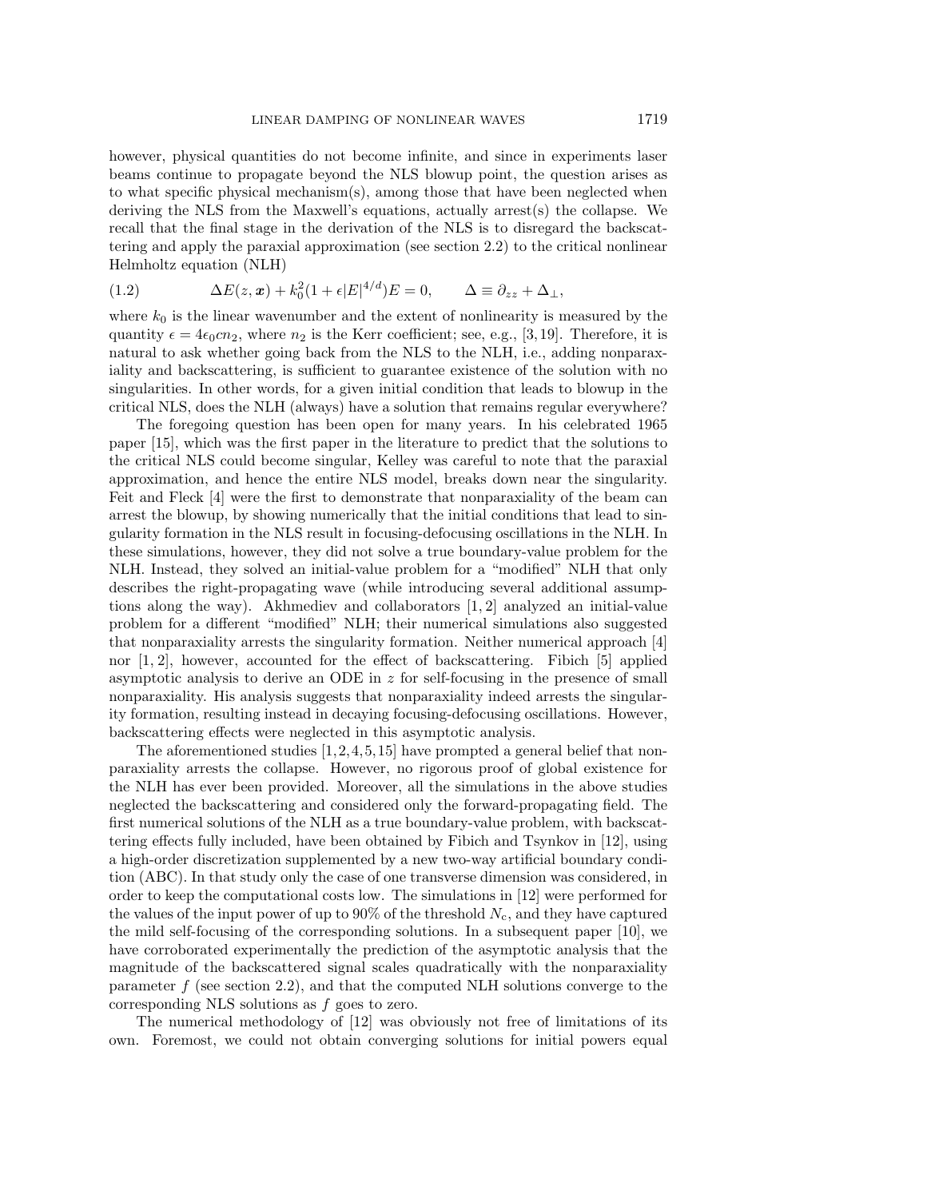however, physical quantities do not become infinite, and since in experiments laser beams continue to propagate beyond the NLS blowup point, the question arises as to what specific physical mechanism(s), among those that have been neglected when deriving the NLS from the Maxwell's equations, actually arrest(s) the collapse. We recall that the final stage in the derivation of the NLS is to disregard the backscattering and apply the paraxial approximation (see section 2.2) to the critical nonlinear Helmholtz equation (NLH)

(1.2) 
$$
\Delta E(z, x) + k_0^2 (1 + \epsilon |E|^{4/d}) E = 0, \qquad \Delta \equiv \partial_{zz} + \Delta_{\perp},
$$

where  $k_0$  is the linear wavenumber and the extent of nonlinearity is measured by the quantity  $\epsilon = 4\epsilon_0 c n_2$ , where  $n_2$  is the Kerr coefficient; see, e.g., [3,19]. Therefore, it is natural to ask whether going back from the NLS to the NLH, i.e., adding nonparaxiality and backscattering, is sufficient to guarantee existence of the solution with no singularities. In other words, for a given initial condition that leads to blowup in the critical NLS, does the NLH (always) have a solution that remains regular everywhere?

The foregoing question has been open for many years. In his celebrated 1965 paper [15], which was the first paper in the literature to predict that the solutions to the critical NLS could become singular, Kelley was careful to note that the paraxial approximation, and hence the entire NLS model, breaks down near the singularity. Feit and Fleck [4] were the first to demonstrate that nonparaxiality of the beam can arrest the blowup, by showing numerically that the initial conditions that lead to singularity formation in the NLS result in focusing-defocusing oscillations in the NLH. In these simulations, however, they did not solve a true boundary-value problem for the NLH. Instead, they solved an initial-value problem for a "modified" NLH that only describes the right-propagating wave (while introducing several additional assumptions along the way). Akhmedievand collaborators [1, 2] analyzed an initial-value problem for a different "modified" NLH; their numerical simulations also suggested that nonparaxiality arrests the singularity formation. Neither numerical approach [4] nor  $[1, 2]$ , however, accounted for the effect of backscattering. Fibich  $[5]$  applied asymptotic analysis to derive an ODE in z for self-focusing in the presence of small nonparaxiality. His analysis suggests that nonparaxiality indeed arrests the singularity formation, resulting instead in decaying focusing-defocusing oscillations. However, backscattering effects were neglected in this asymptotic analysis.

The aforementioned studies  $[1,2,4,5,15]$  have prompted a general belief that nonparaxiality arrests the collapse. However, no rigorous proof of global existence for the NLH has ever been provided. Moreover, all the simulations in the above studies neglected the backscattering and considered only the forward-propagating field. The first numerical solutions of the NLH as a true boundary-value problem, with backscattering effects fully included, have been obtained by Fibich and Tsynkov in [12], using a high-order discretization supplemented by a new two-way artificial boundary condition (ABC). In that study only the case of one transverse dimension was considered, in order to keep the computational costs low. The simulations in [12] were performed for the values of the input power of up to  $90\%$  of the threshold  $N_c$ , and they have captured the mild self-focusing of the corresponding solutions. In a subsequent paper [10], we have corroborated experimentally the prediction of the asymptotic analysis that the magnitude of the backscattered signal scales quadratically with the nonparaxiality parameter  $f$  (see section 2.2), and that the computed NLH solutions converge to the corresponding NLS solutions as f goes to zero.

The numerical methodology of [12] was obviously not free of limitations of its own. Foremost, we could not obtain converging solutions for initial powers equal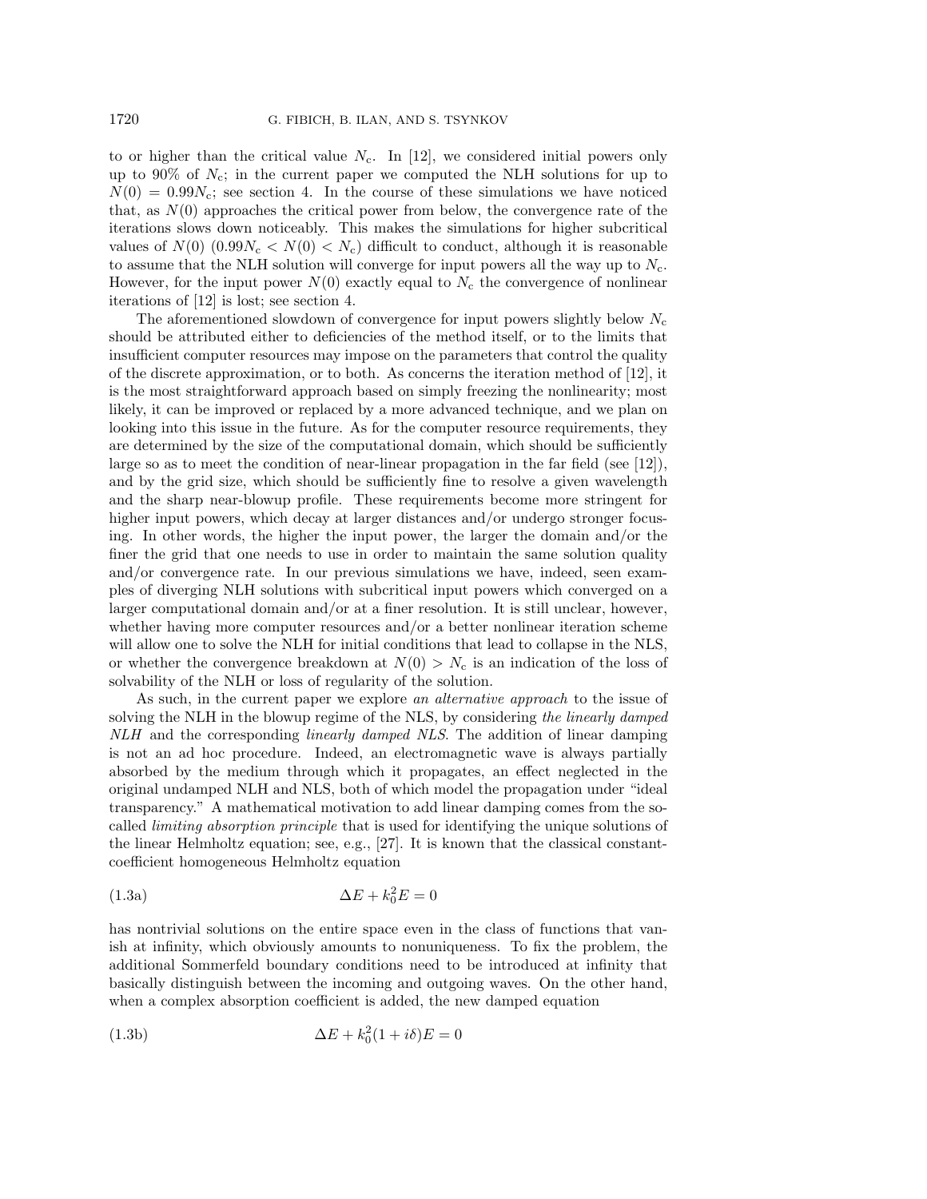to or higher than the critical value  $N_c$ . In [12], we considered initial powers only up to 90% of  $N_c$ ; in the current paper we computed the NLH solutions for up to  $N(0) = 0.99N_c$ ; see section 4. In the course of these simulations we have noticed that, as  $N(0)$  approaches the critical power from below, the convergence rate of the iterations slows down noticeably. This makes the simulations for higher subcritical values of  $N(0)$   $(0.99N_c < N(0) < N_c)$  difficult to conduct, although it is reasonable to assume that the NLH solution will converge for input powers all the way up to  $N_c$ . However, for the input power  $N(0)$  exactly equal to  $N_c$  the convergence of nonlinear iterations of [12] is lost; see section 4.

The aforementioned slowdown of convergence for input powers slightly below  $N_c$ should be attributed either to deficiencies of the method itself, or to the limits that insufficient computer resources may impose on the parameters that control the quality of the discrete approximation, or to both. As concerns the iteration method of [12], it is the most straightforward approach based on simply freezing the nonlinearity; most likely, it can be improved or replaced by a more advanced technique, and we plan on looking into this issue in the future. As for the computer resource requirements, they are determined by the size of the computational domain, which should be sufficiently large so as to meet the condition of near-linear propagation in the far field (see [12]), and by the grid size, which should be sufficiently fine to resolve a given wavelength and the sharp near-blowup profile. These requirements become more stringent for higher input powers, which decay at larger distances and/or undergo stronger focusing. In other words, the higher the input power, the larger the domain and/or the finer the grid that one needs to use in order to maintain the same solution quality and/or convergence rate. In our previous simulations we have, indeed, seen examples of diverging NLH solutions with subcritical input powers which converged on a larger computational domain and/or at a finer resolution. It is still unclear, however, whether having more computer resources and/or a better nonlinear iteration scheme will allow one to solve the NLH for initial conditions that lead to collapse in the NLS, or whether the convergence breakdown at  $N(0) > N_c$  is an indication of the loss of solvability of the NLH or loss of regularity of the solution.

As such, in the current paper we explore an alternative approach to the issue of solving the NLH in the blowup regime of the NLS, by considering the linearly damped NLH and the corresponding linearly damped NLS. The addition of linear damping is not an ad hoc procedure. Indeed, an electromagnetic wave is always partially absorbed by the medium through which it propagates, an effect neglected in the original undamped NLH and NLS, both of which model the propagation under "ideal transparency." A mathematical motivation to add linear damping comes from the socalled limiting absorption principle that is used for identifying the unique solutions of the linear Helmholtz equation; see, e.g., [27]. It is known that the classical constantcoefficient homogeneous Helmholtz equation

$$
\Delta E + k_0^2 E = 0
$$

has nontrivial solutions on the entire space even in the class of functions that vanish at infinity, which obviously amounts to nonuniqueness. To fix the problem, the additional Sommerfeld boundary conditions need to be introduced at infinity that basically distinguish between the incoming and outgoing waves. On the other hand, when a complex absorption coefficient is added, the new damped equation

(1.3b) 
$$
\Delta E + k_0^2 (1 + i\delta) E = 0
$$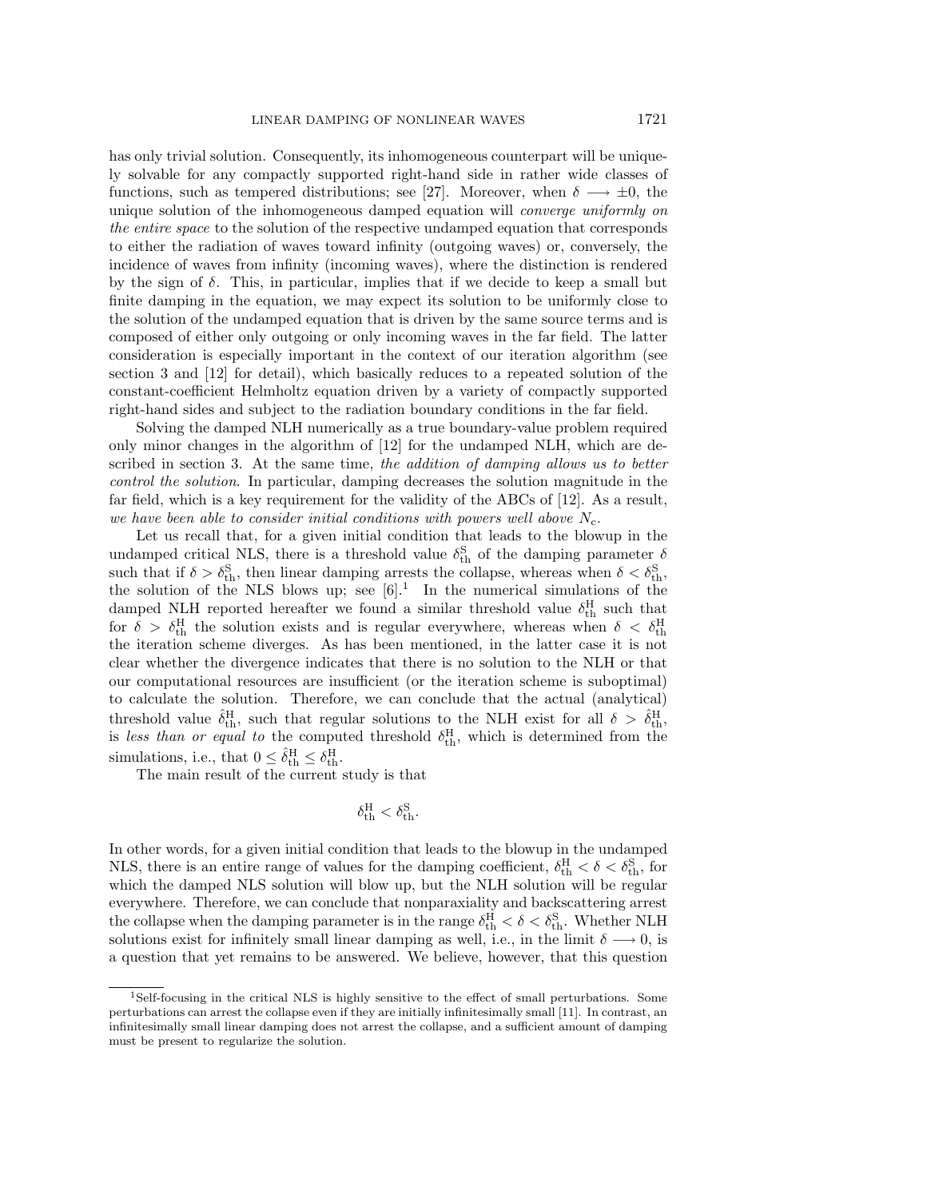has only trivial solution. Consequently, its inhomogeneous counterpart will be uniquely solvable for any compactly supported right-hand side in rather wide classes of functions, such as tempered distributions; see [27]. Moreover, when  $\delta \longrightarrow \pm 0$ , the unique solution of the inhomogeneous damped equation will *converge uniformly on* the entire space to the solution of the respective undamped equation that corresponds to either the radiation of waves toward infinity (outgoing waves) or, conversely, the incidence of waves from infinity (incoming waves), where the distinction is rendered by the sign of  $\delta$ . This, in particular, implies that if we decide to keep a small but finite damping in the equation, we may expect its solution to be uniformly close to the solution of the undamped equation that is driven by the same source terms and is composed of either only outgoing or only incoming waves in the far field. The latter consideration is especially important in the context of our iteration algorithm (see section 3 and [12] for detail), which basically reduces to a repeated solution of the constant-coefficient Helmholtz equation driven by a variety of compactly supported right-hand sides and subject to the radiation boundary conditions in the far field.

Solving the damped NLH numerically as a true boundary-value problem required only minor changes in the algorithm of [12] for the undamped NLH, which are described in section 3. At the same time, the addition of damping allows us to better control the solution. In particular, damping decreases the solution magnitude in the far field, which is a key requirement for the validity of the ABCs of [12]. As a result, we have been able to consider initial conditions with powers well above  $N_c$ .

Let us recall that, for a given initial condition that leads to the blowup in the undamped critical NLS, there is a threshold value  $\delta_{\text{th}}^{\text{S}}$  of the damping parameter  $\delta$ such that if  $\delta > \delta_{\text{th}}^{\text{S}}$ , then linear damping arrests the collapse, whereas when  $\delta < \delta_{\text{th}}^{\text{S}}$ , the solution of the NLS blows up; see  $[6]$ .<sup>1</sup> In the numerical simulations of the damped NLH reported hereafter we found a similar threshold value  $\delta_{\text{th}}^{\text{H}}$  such that for  $\delta > \delta_{\rm th}^{\rm H}$  the solution exists and is regular everywhere, whereas when  $\delta < \delta_{\rm th}^{\rm H}$ the iteration scheme diverges. As has been mentioned, in the latter case it is not clear whether the divergence indicates that there is no solution to the NLH or that our computational resources are insufficient (or the iteration scheme is suboptimal) to calculate the solution. Therefore, we can conclude that the actual (analytical) threshold value  $\hat{\delta}_{\text{th}}^{\text{H}}$ , such that regular solutions to the NLH exist for all  $\delta > \hat{\delta}_{\text{th}}^{\text{H}}$ , is less than or equal to the computed threshold  $\delta_{\rm th}^{\rm H}$ , which is determined from the simulations, i.e., that  $0 \leq \hat{\delta}_{\text{th}}^{\text{H}} \leq \delta_{\text{th}}^{\text{H}}$ .

The main result of the current study is that

$$
\delta_{\rm th}^{\rm H} < \delta_{\rm th}^{\rm S}.
$$

In other words, for a given initial condition that leads to the blowup in the undamped NLS, there is an entire range of values for the damping coefficient,  $\delta_{\text{th}}^{\text{H}} < \delta < \delta_{\text{th}}^{\text{S}}$ , for which the damped NLS solution will blow up, but the NLH solution will be regular everywhere. Therefore, we can conclude that nonparaxiality and backscattering arrest the collapse when the damping parameter is in the range  $\delta_{\rm th}^{\rm H} < \delta < \delta_{\rm th}^{\rm S}$ . Whether NLH solutions exist for infinitely small linear damping as well, i.e., in the limit  $\delta \longrightarrow 0$ , is a question that yet remains to be answered. We believe, however, that this question

<sup>1</sup>Self-focusing in the critical NLS is highly sensitive to the effect of small perturbations. Some perturbations can arrest the collapse even if they are initially infinitesimally small [11]. In contrast, an infinitesimally small linear damping does not arrest the collapse, and a sufficient amount of damping must be present to regularize the solution.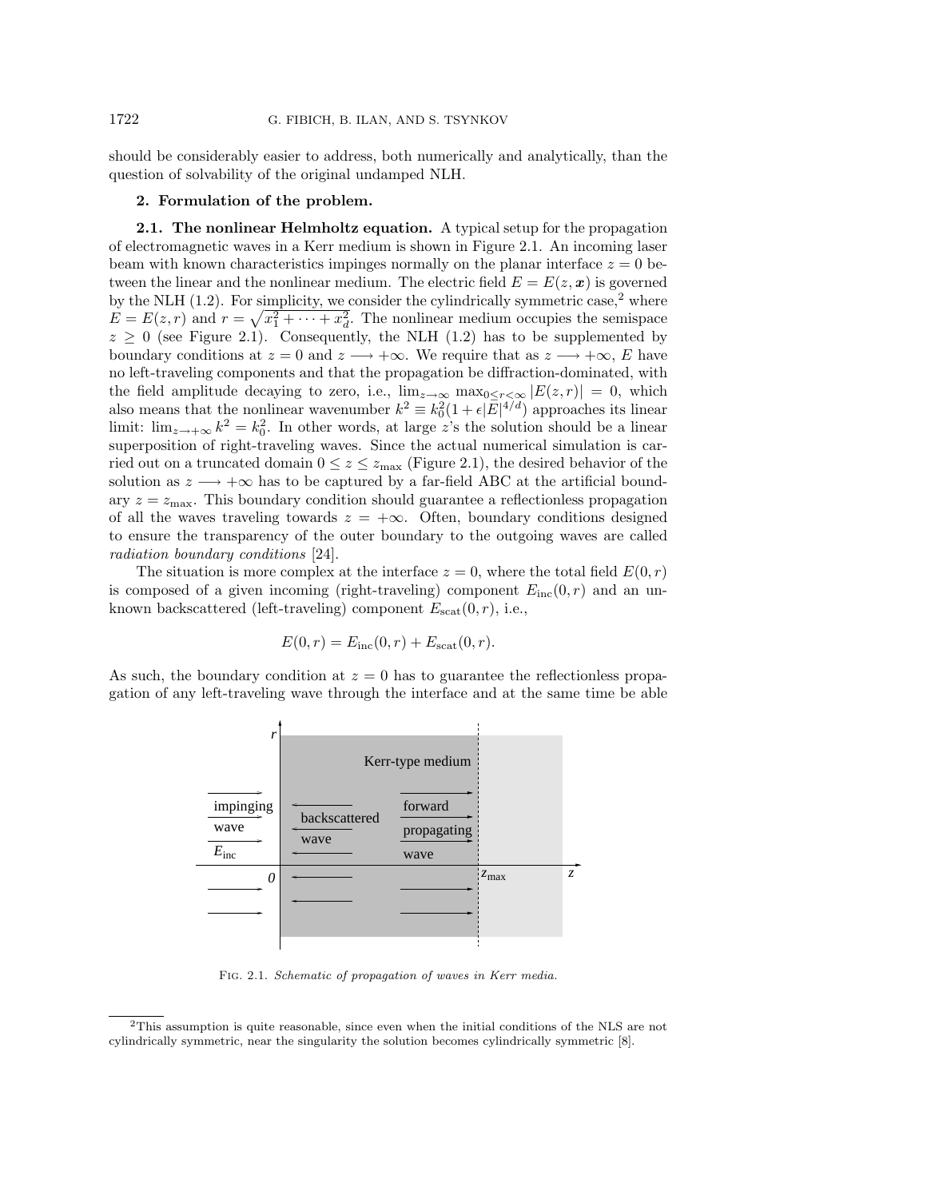should be considerably easier to address, both numerically and analytically, than the question of solvability of the original undamped NLH.

## **2. Formulation of the problem.**

**2.1. The nonlinear Helmholtz equation.** A typical setup for the propagation of electromagnetic waves in a Kerr medium is shown in Figure 2.1. An incoming laser beam with known characteristics impinges normally on the planar interface  $z = 0$  between the linear and the nonlinear medium. The electric field  $E = E(z, x)$  is governed by the NLH  $(1.2)$ . For simplicity, we consider the cylindrically symmetric case,<sup>2</sup> where  $E = E(z, r)$  and  $r = \sqrt{x_1^2 + \cdots + x_d^2}$ . The nonlinear medium occupies the semispace  $z \geq 0$  (see Figure 2.1). Consequently, the NLH (1.2) has to be supplemented by boundary conditions at  $z = 0$  and  $z \rightarrow +\infty$ . We require that as  $z \rightarrow +\infty$ , E have no left-traveling components and that the propagation be diffraction-dominated, with the field amplitude decaying to zero, i.e.,  $\lim_{z\to\infty} \max_{0\leq r\leq\infty} |E(z,r)| = 0$ , which also means that the nonlinear wavenumber  $k^2 \equiv k_0^2(1 + \epsilon |\overline{E}|^{4/d})$  approaches its linear limit:  $\lim_{z \to +\infty} k^2 = k_0^2$ . In other words, at large z's the solution should be a linear superposition of right-traveling waves. Since the actual numerical simulation is carried out on a truncated domain  $0 \le z \le z_{\text{max}}$  (Figure 2.1), the desired behavior of the solution as  $z \longrightarrow +\infty$  has to be captured by a far-field ABC at the artificial boundary  $z = z_{\text{max}}$ . This boundary condition should guarantee a reflectionless propagation of all the waves traveling towards  $z = +\infty$ . Often, boundary conditions designed to ensure the transparency of the outer boundary to the outgoing waves are called radiation boundary conditions [24].

The situation is more complex at the interface  $z = 0$ , where the total field  $E(0, r)$ is composed of a given incoming (right-traveling) component  $E_{inc}(0, r)$  and an unknown backscattered (left-traveling) component  $E_{scat}(0, r)$ , i.e.,

$$
E(0,r) = E_{\text{inc}}(0,r) + E_{\text{scat}}(0,r).
$$

As such, the boundary condition at  $z = 0$  has to guarantee the reflectionless propagation of any left-traveling wave through the interface and at the same time be able



Fig. 2.1. Schematic of propagation of waves in Kerr media.

<sup>2</sup>This assumption is quite reasonable, since even when the initial conditions of the NLS are not cylindrically symmetric, near the singularity the solution becomes cylindrically symmetric [8].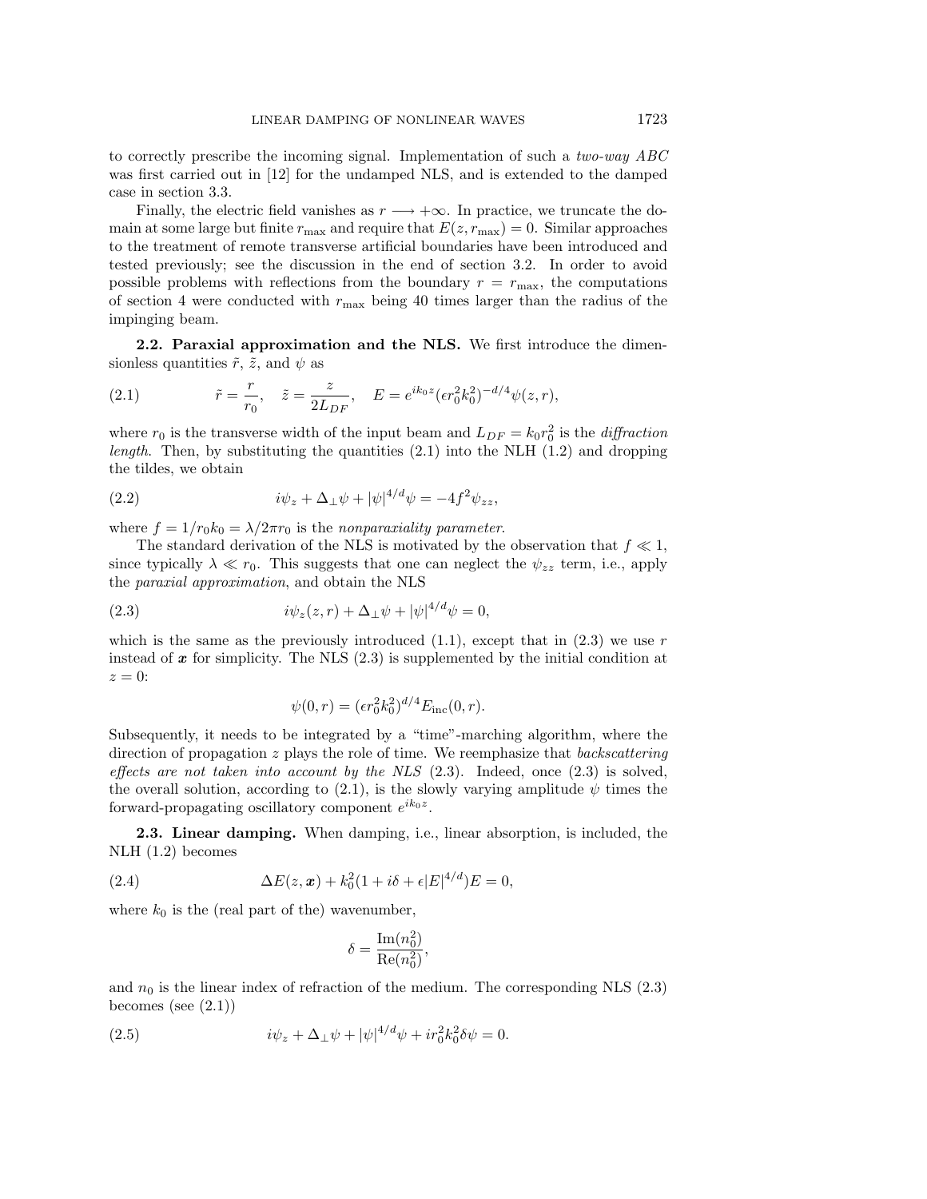to correctly prescribe the incoming signal. Implementation of such a two-way ABC was first carried out in [12] for the undamped NLS, and is extended to the damped case in section 3.3.

Finally, the electric field vanishes as  $r \rightarrow +\infty$ . In practice, we truncate the domain at some large but finite  $r_{\text{max}}$  and require that  $E(z, r_{\text{max}}) = 0$ . Similar approaches to the treatment of remote transverse artificial boundaries have been introduced and tested previously; see the discussion in the end of section 3.2. In order to avoid possible problems with reflections from the boundary  $r = r_{\text{max}}$ , the computations of section 4 were conducted with  $r_{\text{max}}$  being 40 times larger than the radius of the impinging beam.

**2.2. Paraxial approximation and the NLS.** We first introduce the dimensionless quantities  $\tilde{r}$ ,  $\tilde{z}$ , and  $\psi$  as

(2.1) 
$$
\tilde{r} = \frac{r}{r_0}, \quad \tilde{z} = \frac{z}{2L_{DF}}, \quad E = e^{ik_0 z} (e r_0^2 k_0^2)^{-d/4} \psi(z, r),
$$

where  $r_0$  is the transverse width of the input beam and  $L_{DF} = k_0 r_0^2$  is the *diffraction length*. Then, by substituting the quantities  $(2.1)$  into the NLH  $(1.2)$  and dropping the tildes, we obtain

(2.2) 
$$
i\psi_z + \Delta_\perp \psi + |\psi|^{4/d} \psi = -4f^2 \psi_{zz},
$$

where  $f = 1/r_0 k_0 = \lambda/2\pi r_0$  is the nonparaxiality parameter.

The standard derivation of the NLS is motivated by the observation that  $f \ll 1$ , since typically  $\lambda \ll r_0$ . This suggests that one can neglect the  $\psi_{zz}$  term, i.e., apply the paraxial approximation, and obtain the NLS

(2.3) 
$$
i\psi_z(z,r) + \Delta_\perp \psi + |\psi|^{4/d}\psi = 0,
$$

which is the same as the previously introduced  $(1.1)$ , except that in  $(2.3)$  we use r instead of  $\boldsymbol{x}$  for simplicity. The NLS  $(2.3)$  is supplemented by the initial condition at  $z=0$ :

$$
\psi(0,r) = (\epsilon r_0^2 k_0^2)^{d/4} E_{\rm inc}(0,r).
$$

Subsequently, it needs to be integrated by a "time"-marching algorithm, where the direction of propagation z plays the role of time. We reemphasize that backscattering effects are not taken into account by the NLS  $(2.3)$ . Indeed, once  $(2.3)$  is solved, the overall solution, according to (2.1), is the slowly varying amplitude  $\psi$  times the forward-propagating oscillatory component  $e^{ik_0z}$ .

**2.3. Linear damping.** When damping, i.e., linear absorption, is included, the NLH (1.2) becomes

(2.4) 
$$
\Delta E(z, x) + k_0^2 (1 + i\delta + \epsilon |E|^{4/d}) E = 0,
$$

where  $k_0$  is the (real part of the) wavenumber,

$$
\delta = \frac{\operatorname{Im}(n_0^2)}{\operatorname{Re}(n_0^2)},
$$

and  $n_0$  is the linear index of refraction of the medium. The corresponding NLS (2.3) becomes (see  $(2.1)$ )

(2.5) 
$$
i\psi_z + \Delta_{\perp}\psi + |\psi|^{4/d}\psi + ir_0^2k_0^2\delta\psi = 0.
$$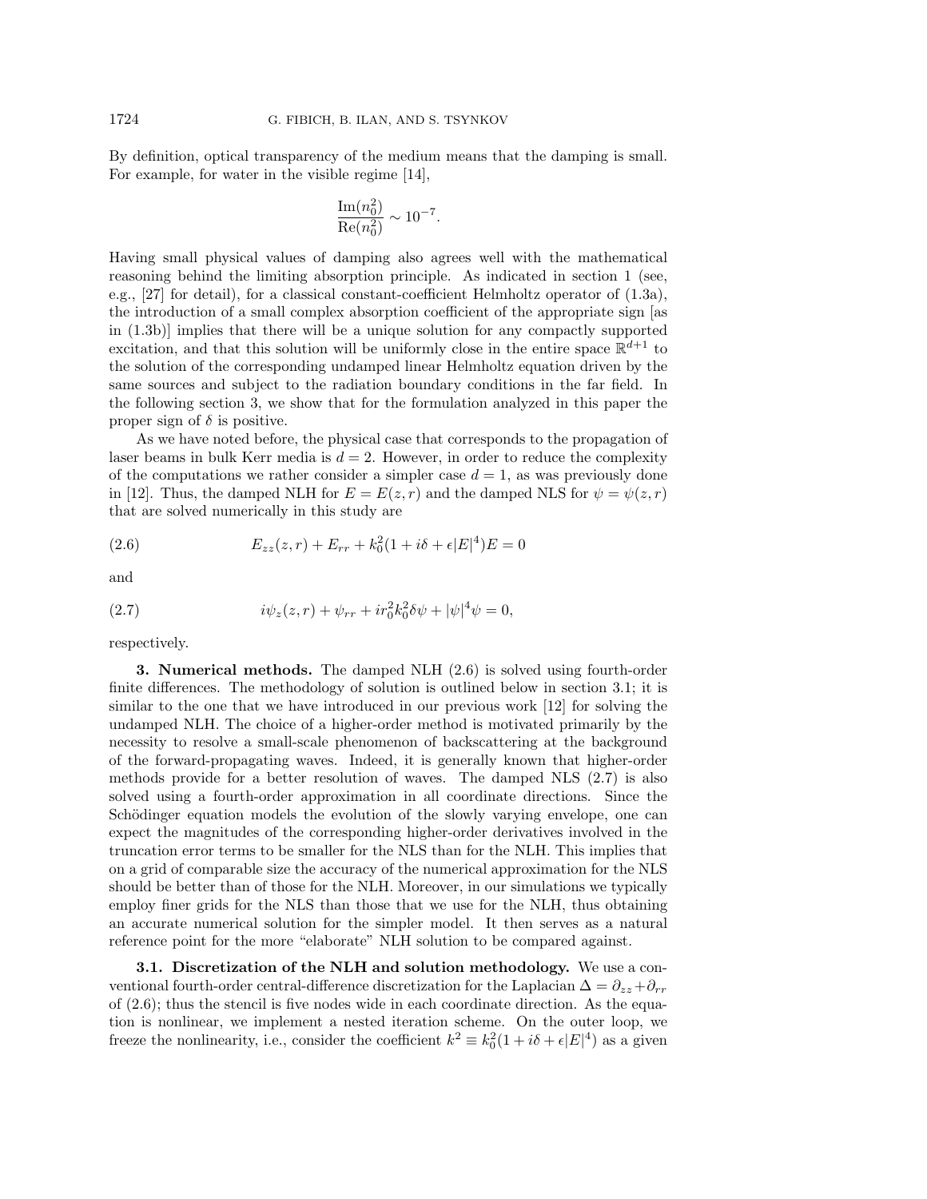By definition, optical transparency of the medium means that the damping is small. For example, for water in the visible regime [14],

$$
\frac{\text{Im}(n_0^2)}{\text{Re}(n_0^2)} \sim 10^{-7}.
$$

Having small physical values of damping also agrees well with the mathematical reasoning behind the limiting absorption principle. As indicated in section 1 (see, e.g., [27] for detail), for a classical constant-coefficient Helmholtz operator of (1.3a), the introduction of a small complex absorption coefficient of the appropriate sign [as in (1.3b)] implies that there will be a unique solution for any compactly supported excitation, and that this solution will be uniformly close in the entire space  $\mathbb{R}^{d+1}$  to the solution of the corresponding undamped linear Helmholtz equation driven by the same sources and subject to the radiation boundary conditions in the far field. In the following section 3, we show that for the formulation analyzed in this paper the proper sign of  $\delta$  is positive.

As we have noted before, the physical case that corresponds to the propagation of laser beams in bulk Kerr media is  $d = 2$ . However, in order to reduce the complexity of the computations we rather consider a simpler case  $d = 1$ , as was previously done in [12]. Thus, the damped NLH for  $E = E(z, r)$  and the damped NLS for  $\psi = \psi(z, r)$ that are solved numerically in this study are

(2.6) 
$$
E_{zz}(z,r) + E_{rr} + k_0^2 (1 + i\delta + \epsilon |E|^4) E = 0
$$

and

(2.7) 
$$
i\psi_z(z,r) + \psi_{rr} + ir_0^2 k_0^2 \delta \psi + |\psi|^4 \psi = 0,
$$

respectively.

**3. Numerical methods.** The damped NLH (2.6) is solved using fourth-order finite differences. The methodology of solution is outlined below in section 3.1; it is similar to the one that we have introduced in our previous work [12] for solving the undamped NLH. The choice of a higher-order method is motivated primarily by the necessity to resolve a small-scale phenomenon of backscattering at the background of the forward-propagating waves. Indeed, it is generally known that higher-order methods provide for a better resolution of waves. The damped NLS (2.7) is also solved using a fourth-order approximation in all coordinate directions. Since the Schödinger equation models the evolution of the slowly varying envelope, one can expect the magnitudes of the corresponding higher-order derivatives involved in the truncation error terms to be smaller for the NLS than for the NLH. This implies that on a grid of comparable size the accuracy of the numerical approximation for the NLS should be better than of those for the NLH. Moreover, in our simulations we typically employ finer grids for the NLS than those that we use for the NLH, thus obtaining an accurate numerical solution for the simpler model. It then serves as a natural reference point for the more "elaborate" NLH solution to be compared against.

**3.1. Discretization of the NLH and solution methodology.** We use a conventional fourth-order central-difference discretization for the Laplacian  $\Delta = \partial_{zz} + \partial_{rr}$ of (2.6); thus the stencil is five nodes wide in each coordinate direction. As the equation is nonlinear, we implement a nested iteration scheme. On the outer loop, we freeze the nonlinearity, i.e., consider the coefficient  $k^2 \equiv k_0^2(1 + i\delta + \epsilon |E|^4)$  as a given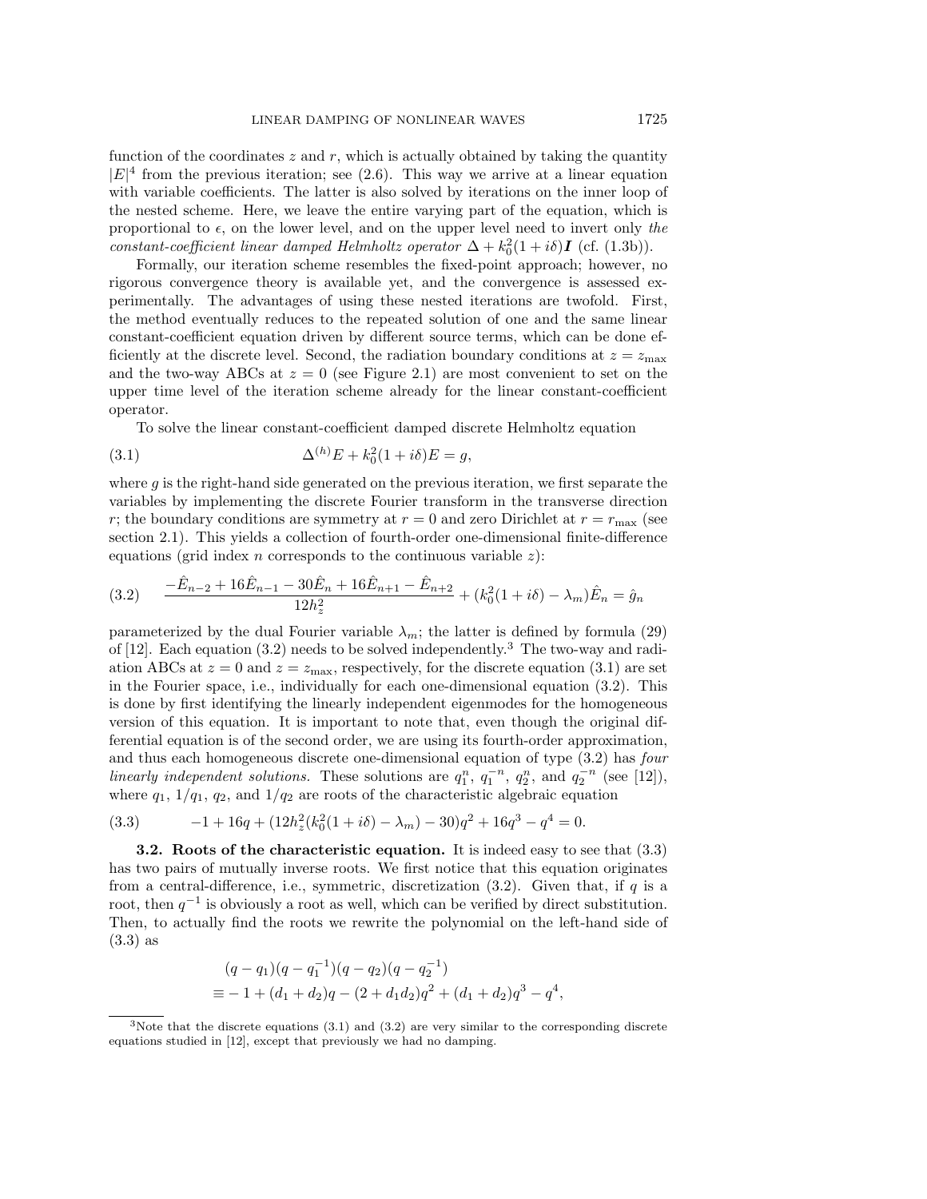function of the coordinates  $z$  and  $r$ , which is actually obtained by taking the quantity  $|E|^4$  from the previous iteration; see (2.6). This way we arrive at a linear equation with variable coefficients. The latter is also solved by iterations on the inner loop of the nested scheme. Here, we leave the entire varying part of the equation, which is proportional to  $\epsilon$ , on the lower level, and on the upper level need to invert only the constant-coefficient linear damped Helmholtz operator  $\Delta + k_0^2(1 + i\delta)$ *I* (cf. (1.3b)).

Formally, our iteration scheme resembles the fixed-point approach; however, no rigorous convergence theory is available yet, and the convergence is assessed experimentally. The advantages of using these nested iterations are twofold. First, the method eventually reduces to the repeated solution of one and the same linear constant-coefficient equation driven by different source terms, which can be done efficiently at the discrete level. Second, the radiation boundary conditions at  $z = z_{\text{max}}$ and the two-way ABCs at  $z = 0$  (see Figure 2.1) are most convenient to set on the upper time level of the iteration scheme already for the linear constant-coefficient operator.

To solve the linear constant-coefficient damped discrete Helmholtz equation

(3.1) 
$$
\Delta^{(h)}E + k_0^2(1 + i\delta)E = g,
$$

where  $q$  is the right-hand side generated on the previous iteration, we first separate the variables by implementing the discrete Fourier transform in the transverse direction r; the boundary conditions are symmetry at  $r = 0$  and zero Dirichlet at  $r = r_{\text{max}}$  (see section 2.1). This yields a collection of fourth-order one-dimensional finite-difference equations (grid index  $n$  corresponds to the continuous variable  $z$ ):

$$
(3.2) \quad \frac{-\hat{E}_{n-2} + 16\hat{E}_{n-1} - 30\hat{E}_n + 16\hat{E}_{n+1} - \hat{E}_{n+2}}{12h_z^2} + (k_0^2(1+i\delta) - \lambda_m)\hat{E}_n = \hat{g}_n
$$

parameterized by the dual Fourier variable  $\lambda_m$ ; the latter is defined by formula (29) of [12]. Each equation (3.2) needs to be solved independently.<sup>3</sup> The two-way and radiation ABCs at  $z = 0$  and  $z = z_{\text{max}}$ , respectively, for the discrete equation (3.1) are set in the Fourier space, i.e., individually for each one-dimensional equation (3.2). This is done by first identifying the linearly independent eigenmodes for the homogeneous version of this equation. It is important to note that, even though the original differential equation is of the second order, we are using its fourth-order approximation, and thus each homogeneous discrete one-dimensional equation of type (3.2) has four linearly independent solutions. These solutions are  $q_1^n$ ,  $q_1^{-n}$ ,  $q_2^n$ , and  $q_2^{-n}$  (see [12]), where  $q_1$ ,  $1/q_1$ ,  $q_2$ , and  $1/q_2$  are roots of the characteristic algebraic equation

(3.3) 
$$
-1 + 16q + (12h_z^2(k_0^2(1+i\delta) - \lambda_m) - 30)q^2 + 16q^3 - q^4 = 0.
$$

**3.2. Roots of the characteristic equation.** It is indeed easy to see that (3.3) has two pairs of mutually inverse roots. We first notice that this equation originates from a central-difference, i.e., symmetric, discretization  $(3.2)$ . Given that, if q is a root, then  $q^{-1}$  is obviously a root as well, which can be verified by direct substitution. Then, to actually find the roots we rewrite the polynomial on the left-hand side of (3.3) as

$$
(q - q1)(q - q1-1)(q - q2)(q - q2-1)
$$
  
\n
$$
\equiv -1 + (d1 + d2)q - (2 + d1d2)q2 + (d1 + d2)q3 - q4,
$$

<sup>&</sup>lt;sup>3</sup>Note that the discrete equations  $(3.1)$  and  $(3.2)$  are very similar to the corresponding discrete equations studied in [12], except that previously we had no damping.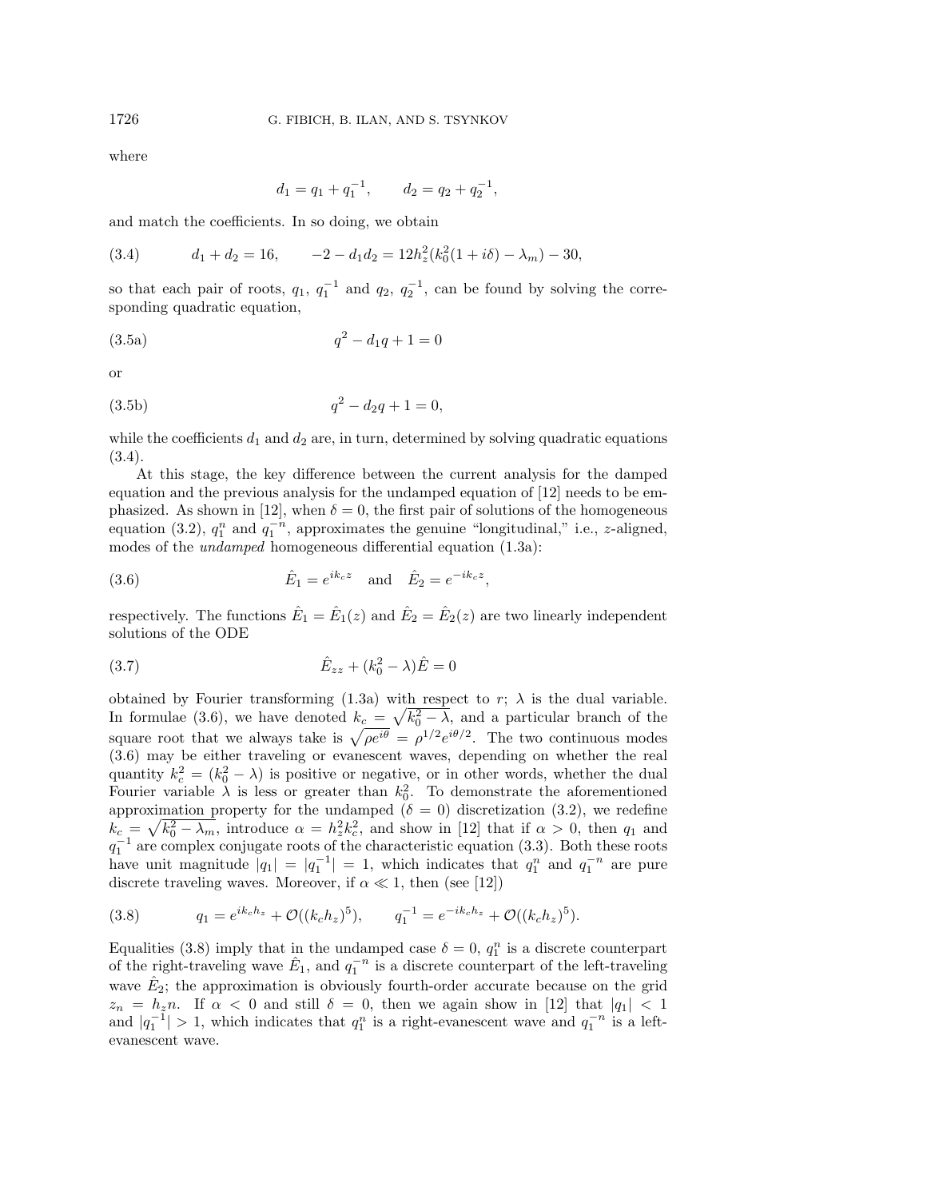where

$$
d_1 = q_1 + q_1^{-1}
$$
,  $d_2 = q_2 + q_2^{-1}$ ,

and match the coefficients. In so doing, we obtain

(3.4) 
$$
d_1 + d_2 = 16, \qquad -2 - d_1 d_2 = 12h_z^2(k_0^2(1 + i\delta) - \lambda_m) - 30,
$$

so that each pair of roots,  $q_1$ ,  $q_1^{-1}$  and  $q_2$ ,  $q_2^{-1}$ , can be found by solving the corresponding quadratic equation,

(3.5a) 
$$
q^2 - d_1 q + 1 = 0
$$

or

(3.5b) 
$$
q^2 - d_2 q + 1 = 0,
$$

while the coefficients  $d_1$  and  $d_2$  are, in turn, determined by solving quadratic equations (3.4).

At this stage, the key difference between the current analysis for the damped equation and the previous analysis for the undamped equation of [12] needs to be emphasized. As shown in [12], when  $\delta = 0$ , the first pair of solutions of the homogeneous equation (3.2),  $q_1^n$  and  $q_1^{-n}$ , approximates the genuine "longitudinal," i.e., z-aligned, modes of the undamped homogeneous differential equation (1.3a):

(3.6) 
$$
\hat{E}_1 = e^{ik_c z}
$$
 and  $\hat{E}_2 = e^{-ik_c z}$ ,

respectively. The functions  $\hat{E}_1 = \hat{E}_1(z)$  and  $\hat{E}_2 = \hat{E}_2(z)$  are two linearly independent solutions of the ODE

(3.7) 
$$
\hat{E}_{zz} + (k_0^2 - \lambda)\hat{E} = 0
$$

obtained by Fourier transforming (1.3a) with respect to r;  $\lambda$  is the dual variable. In formulae (3.6), we have denoted  $k_c = \sqrt{k_0^2 - \lambda}$ , and a particular branch of the square root that we always take is  $\sqrt{\rho e^{i\theta}} = \rho^{1/2} e^{i\theta/2}$ . The two continuous modes (3.6) may be either traveling or evanescent waves, depending on whether the real quantity  $k_c^2 = (k_0^2 - \lambda)$  is positive or negative, or in other words, whether the dual Fourier variable  $\lambda$  is less or greater than  $k_0^2$ . To demonstrate the aforementioned approximation property for the undamped  $(\delta = 0)$  discretization (3.2), we redefine  $k_c = \sqrt{k_0^2 - \lambda_m}$ , introduce  $\alpha = h_z^2 k_c^2$ , and show in [12] that if  $\alpha > 0$ , then  $q_1$  and  $q_1^{-1}$  are complex conjugate roots of the characteristic equation (3.3). Both these roots have unit magnitude  $|q_1| = |q_1^{-1}| = 1$ , which indicates that  $q_1^n$  and  $q_1^{-n}$  are pure discrete traveling waves. Moreover, if  $\alpha \ll 1$ , then (see [12])

(3.8) 
$$
q_1 = e^{ik_c h_z} + \mathcal{O}((k_c h_z)^5), \qquad q_1^{-1} = e^{-ik_c h_z} + \mathcal{O}((k_c h_z)^5).
$$

Equalities (3.8) imply that in the undamped case  $\delta = 0$ ,  $q_1^n$  is a discrete counterpart of the right-traveling wave  $\hat{E}_1$ , and  $q_1^{-n}$  is a discrete counterpart of the left-traveling wave  $E_2$ ; the approximation is obviously fourth-order accurate because on the grid  $z_n = h_z n$ . If  $\alpha < 0$  and still  $\delta = 0$ , then we again show in [12] that  $|q_1| < 1$ and  $|q_1^{-1}| > 1$ , which indicates that  $q_1^n$  is a right-evanescent wave and  $q_1^{-n}$  is a leftevanescent wave.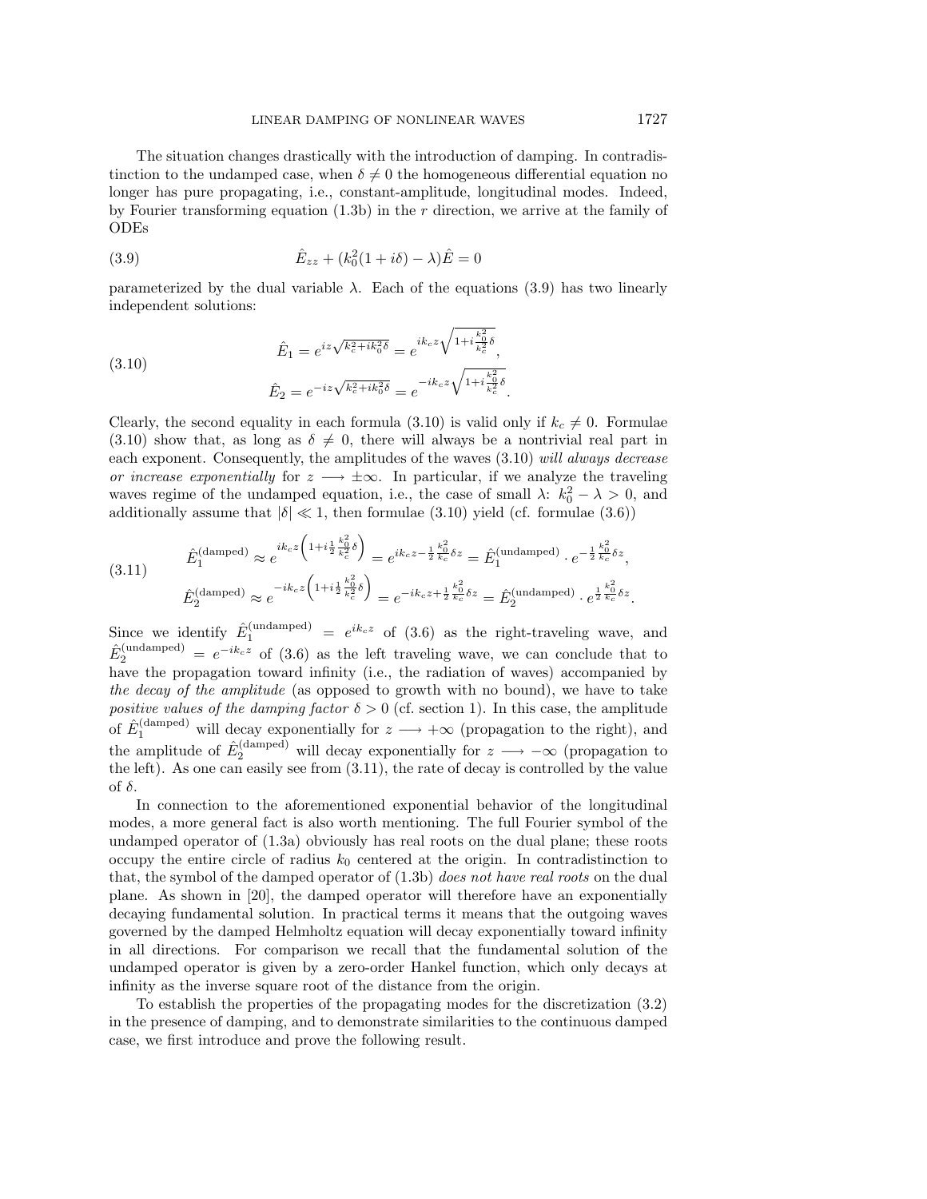The situation changes drastically with the introduction of damping. In contradistinction to the undamped case, when  $\delta \neq 0$  the homogeneous differential equation no longer has pure propagating, i.e., constant-amplitude, longitudinal modes. Indeed, by Fourier transforming equation  $(1.3b)$  in the r direction, we arrive at the family of ODEs

(3.9) 
$$
\hat{E}_{zz} + (k_0^2(1+i\delta) - \lambda)\hat{E} = 0
$$

parameterized by the dual variable  $\lambda$ . Each of the equations (3.9) has two linearly independent solutions:

(3.10)  
\n
$$
\hat{E}_1 = e^{iz\sqrt{k_c^2 + ik_0^2 \delta}} = e^{ik_c z \sqrt{1 + i \frac{k_0^2}{k_c^2} \delta}},
$$
\n
$$
\hat{E}_2 = e^{-iz\sqrt{k_c^2 + ik_0^2 \delta}} = e^{-ik_c z \sqrt{1 + i \frac{k_0^2}{k_c^2} \delta}}.
$$

Clearly, the second equality in each formula (3.10) is valid only if  $k_c \neq 0$ . Formulae  $(3.10)$  show that, as long as  $\delta \neq 0$ , there will always be a nontrivial real part in each exponent. Consequently, the amplitudes of the waves  $(3.10)$  will always decrease or increase exponentially for  $z \rightarrow \pm \infty$ . In particular, if we analyze the traveling waves regime of the undamped equation, i.e., the case of small  $\lambda: k_0^2 - \lambda > 0$ , and additionally assume that  $|\delta| \ll 1$ , then formulae (3.10) yield (cf. formulae (3.6))

(3.11) 
$$
\hat{E}_1^{(\text{damped})} \approx e^{ik_c z \left(1 + i\frac{1}{2} \frac{k_0^2}{k_c^2} \delta\right)} = e^{ik_c z - \frac{1}{2} \frac{k_0^2}{k_c} \delta z} = \hat{E}_1^{(\text{undamped})} \cdot e^{-\frac{1}{2} \frac{k_0^2}{k_c} \delta z},
$$

$$
\hat{E}_2^{(\text{damped})} \approx e^{-ik_c z \left(1 + i\frac{1}{2} \frac{k_0^2}{k_c^2} \delta\right)} = e^{-ik_c z + \frac{1}{2} \frac{k_0^2}{k_c} \delta z} = \hat{E}_2^{(\text{undamped})} \cdot e^{\frac{1}{2} \frac{k_0^2}{k_c} \delta z}.
$$

Since we identify  $\hat{E}_1^{\text{(undamped)}} = e^{ik_c z}$  of (3.6) as the right-traveling wave, and  $\hat{E}_2^{(\text{undamped})} = e^{-ik_c z}$  of (3.6) as the left traveling wave, we can conclude that to have the propagation toward infinity (i.e., the radiation of waves) accompanied by the decay of the amplitude (as opposed to growth with no bound), we have to take positive values of the damping factor  $\delta > 0$  (cf. section 1). In this case, the amplitude of  $\hat{E}_1^{\text{(damped)}}$  will decay exponentially for  $z \longrightarrow +\infty$  (propagation to the right), and the amplitude of  $\hat{E}_2^{\text{(damped)}}$  will decay exponentially for  $z \longrightarrow -\infty$  (propagation to the left). As one can easily see from (3.11), the rate of decay is controlled by the value of δ.

In connection to the aforementioned exponential behavior of the longitudinal modes, a more general fact is also worth mentioning. The full Fourier symbol of the undamped operator of (1.3a) obviously has real roots on the dual plane; these roots occupy the entire circle of radius  $k_0$  centered at the origin. In contradistinction to that, the symbol of the damped operator of (1.3b) does not have real roots on the dual plane. As shown in [20], the damped operator will therefore have an exponentially decaying fundamental solution. In practical terms it means that the outgoing waves governed by the damped Helmholtz equation will decay exponentially toward infinity in all directions. For comparison we recall that the fundamental solution of the undamped operator is given by a zero-order Hankel function, which only decays at infinity as the inverse square root of the distance from the origin.

To establish the properties of the propagating modes for the discretization (3.2) in the presence of damping, and to demonstrate similarities to the continuous damped case, we first introduce and prove the following result.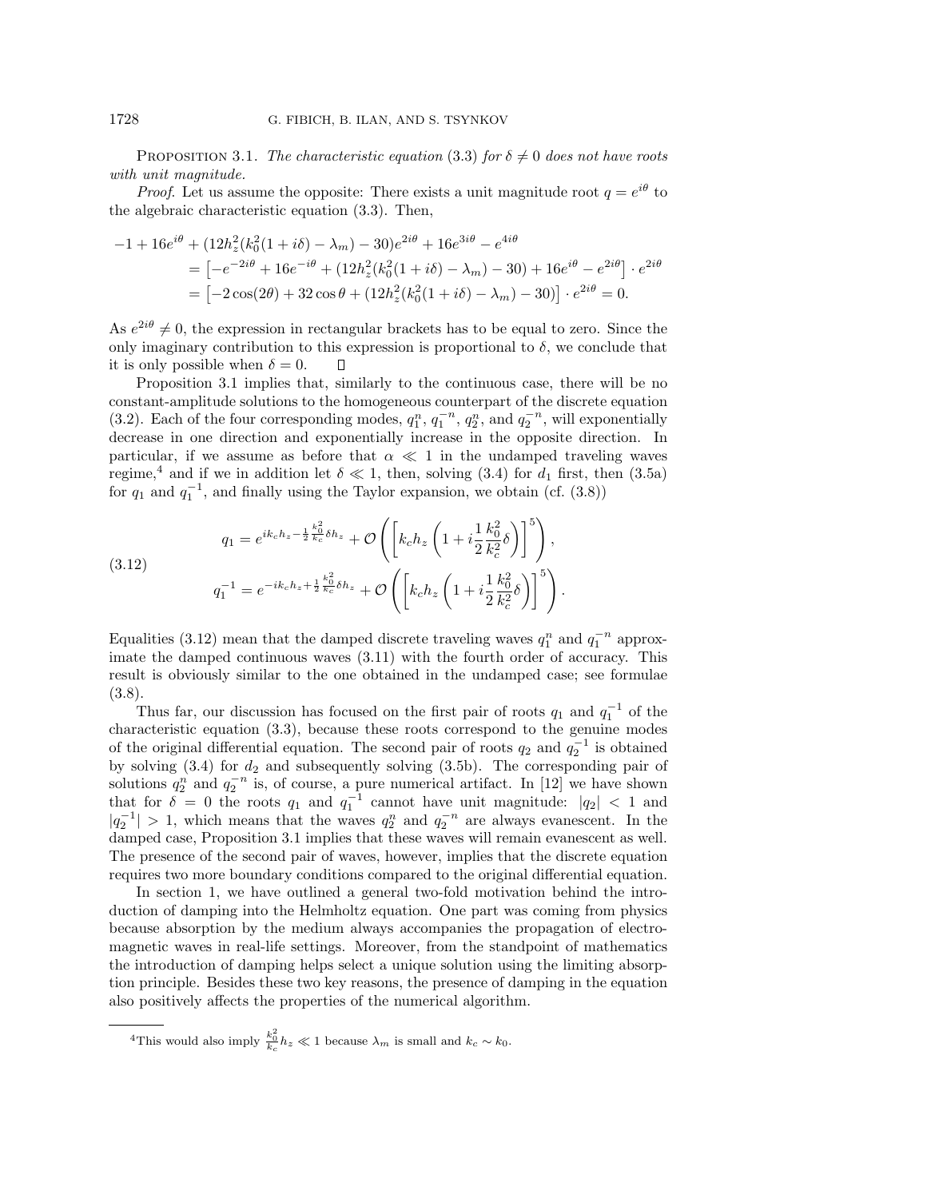PROPOSITION 3.1. The characteristic equation (3.3) for  $\delta \neq 0$  does not have roots with unit magnitude.

*Proof.* Let us assume the opposite: There exists a unit magnitude root  $q = e^{i\theta}$  to the algebraic characteristic equation (3.3). Then,

$$
-1 + 16e^{i\theta} + (12h_z^2(k_0^2(1+i\delta) - \lambda_m) - 30)e^{2i\theta} + 16e^{3i\theta} - e^{4i\theta}
$$
  
= 
$$
[-e^{-2i\theta} + 16e^{-i\theta} + (12h_z^2(k_0^2(1+i\delta) - \lambda_m) - 30) + 16e^{i\theta} - e^{2i\theta}] \cdot e^{2i\theta}
$$
  
= 
$$
[-2\cos(2\theta) + 32\cos\theta + (12h_z^2(k_0^2(1+i\delta) - \lambda_m) - 30)] \cdot e^{2i\theta} = 0.
$$

As  $e^{2i\theta} \neq 0$ , the expression in rectangular brackets has to be equal to zero. Since the only imaginary contribution to this expression is proportional to  $\delta$ , we conclude that it is only possible when  $\delta = 0$ .  $\Box$ 

Proposition 3.1 implies that, similarly to the continuous case, there will be no constant-amplitude solutions to the homogeneous counterpart of the discrete equation (3.2). Each of the four corresponding modes,  $q_1^n$ ,  $q_1^{-n}$ ,  $q_2^n$ , and  $q_2^{-n}$ , will exponentially decrease in one direction and exponentially increase in the opposite direction. In particular, if we assume as before that  $\alpha \ll 1$  in the undamped traveling waves regime,<sup>4</sup> and if we in addition let  $\delta \ll 1$ , then, solving (3.4) for  $d_1$  first, then (3.5a) for  $q_1$  and  $q_1^{-1}$ , and finally using the Taylor expansion, we obtain (cf. (3.8))

(3.12) 
$$
q_1 = e^{ik_c h_z - \frac{1}{2} \frac{k_0^2}{k_c} \delta h_z} + \mathcal{O}\left(\left[k_c h_z \left(1 + i\frac{1}{2} \frac{k_0^2}{k_c^2} \delta\right)\right]^5\right),
$$

$$
q_1^{-1} = e^{-ik_c h_z + \frac{1}{2} \frac{k_0^2}{k_c} \delta h_z} + \mathcal{O}\left(\left[k_c h_z \left(1 + i\frac{1}{2} \frac{k_0^2}{k_c^2} \delta\right)\right]^5\right).
$$

Equalities (3.12) mean that the damped discrete traveling waves  $q_1^n$  and  $q_1^{-n}$  approximate the damped continuous waves (3.11) with the fourth order of accuracy. This result is obviously similar to the one obtained in the undamped case; see formulae (3.8).

Thus far, our discussion has focused on the first pair of roots  $q_1$  and  $q_1^{-1}$  of the characteristic equation (3.3), because these roots correspond to the genuine modes of the original differential equation. The second pair of roots  $q_2$  and  $q_2^{-1}$  is obtained by solving  $(3.4)$  for  $d_2$  and subsequently solving  $(3.5b)$ . The corresponding pair of solutions  $q_2^n$  and  $q_2^{-n}$  is, of course, a pure numerical artifact. In [12] we have shown that for  $\delta = 0$  the roots  $q_1$  and  $q_1^{-1}$  cannot have unit magnitude:  $|q_2| < 1$  and  $|q_2^{-1}| > 1$ , which means that the waves  $q_2^n$  and  $q_2^{-n}$  are always evanescent. In the damped case, Proposition 3.1 implies that these waves will remain evanescent as well. The presence of the second pair of waves, however, implies that the discrete equation requires two more boundary conditions compared to the original differential equation.

In section 1, we have outlined a general two-fold motivation behind the introduction of damping into the Helmholtz equation. One part was coming from physics because absorption by the medium always accompanies the propagation of electromagnetic waves in real-life settings. Moreover, from the standpoint of mathematics the introduction of damping helps select a unique solution using the limiting absorption principle. Besides these two key reasons, the presence of damping in the equation also positively affects the properties of the numerical algorithm.

<sup>&</sup>lt;sup>4</sup>This would also imply  $\frac{k_0^2}{k_c} h_z \ll 1$  because  $\lambda_m$  is small and  $k_c \sim k_0$ .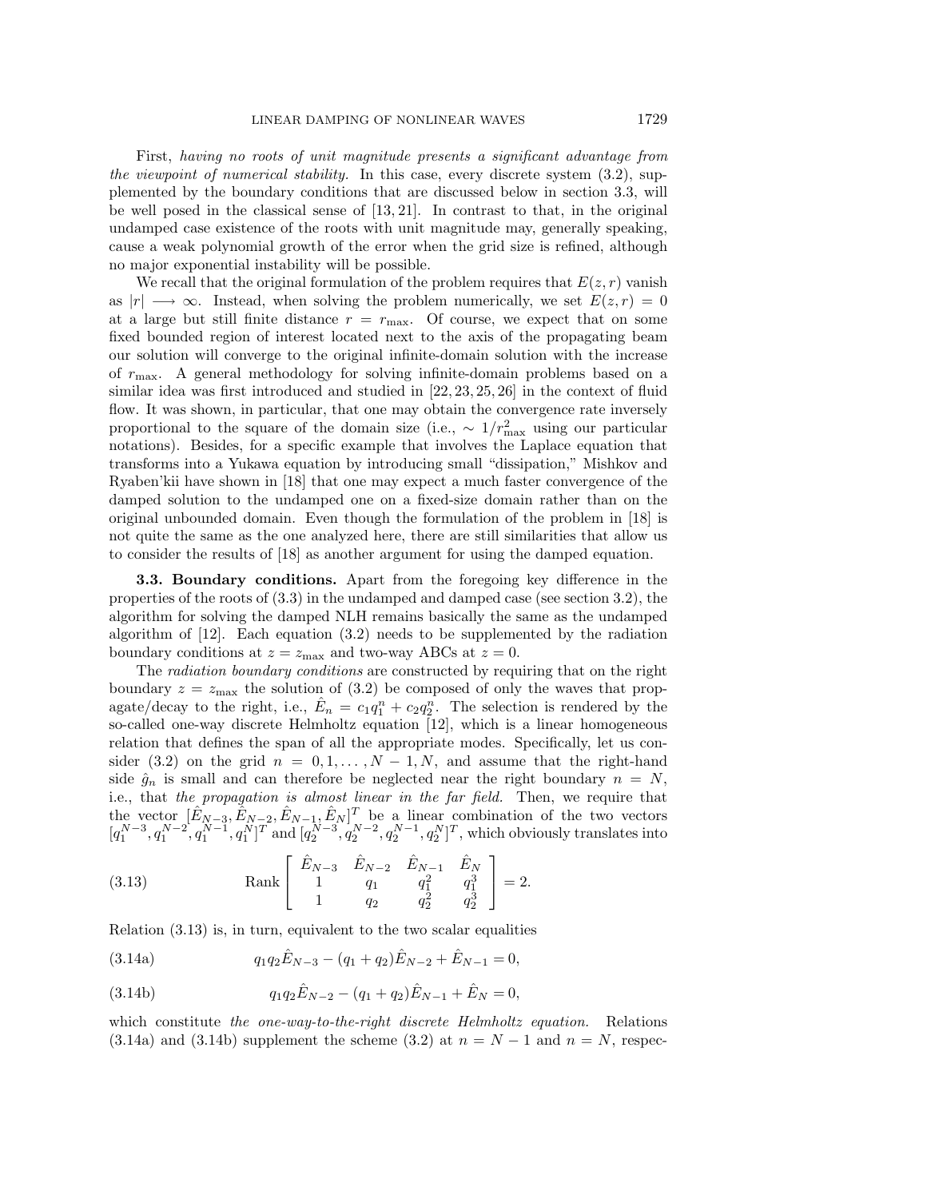First, having no roots of unit magnitude presents a significant advantage from the viewpoint of numerical stability. In this case, every discrete system  $(3.2)$ , supplemented by the boundary conditions that are discussed below in section 3.3, will be well posed in the classical sense of  $[13, 21]$ . In contrast to that, in the original undamped case existence of the roots with unit magnitude may, generally speaking, cause a weak polynomial growth of the error when the grid size is refined, although no major exponential instability will be possible.

We recall that the original formulation of the problem requires that  $E(z, r)$  vanish as  $|r| \longrightarrow \infty$ . Instead, when solving the problem numerically, we set  $E(z, r)=0$ at a large but still finite distance  $r = r_{\text{max}}$ . Of course, we expect that on some fixed bounded region of interest located next to the axis of the propagating beam our solution will converge to the original infinite-domain solution with the increase of  $r_{\text{max}}$ . A general methodology for solving infinite-domain problems based on a similar idea was first introduced and studied in [22, 23, 25, 26] in the context of fluid flow. It was shown, in particular, that one may obtain the convergence rate inversely proportional to the square of the domain size (i.e.,  $\sim 1/r_{\text{max}}^2$  using our particular notations). Besides, for a specific example that involves the Laplace equation that transforms into a Yukawa equation by introducing small "dissipation," Mishkovand Ryaben'kii have shown in [18] that one may expect a much faster convergence of the damped solution to the undamped one on a fixed-size domain rather than on the original unbounded domain. Even though the formulation of the problem in [18] is not quite the same as the one analyzed here, there are still similarities that allow us to consider the results of [18] as another argument for using the damped equation.

**3.3. Boundary conditions.** Apart from the foregoing key difference in the properties of the roots of (3.3) in the undamped and damped case (see section 3.2), the algorithm for solving the damped NLH remains basically the same as the undamped algorithm of  $[12]$ . Each equation  $(3.2)$  needs to be supplemented by the radiation boundary conditions at  $z = z_{\text{max}}$  and two-way ABCs at  $z = 0$ .

The *radiation boundary conditions* are constructed by requiring that on the right boundary  $z = z_{\text{max}}$  the solution of (3.2) be composed of only the waves that propagate/decay to the right, i.e.,  $\hat{E}_n = c_1 q_1^n + c_2 q_2^n$ . The selection is rendered by the so-called one-way discrete Helmholtz equation [12], which is a linear homogeneous relation that defines the span of all the appropriate modes. Specifically, let us consider (3.2) on the grid  $n = 0, 1, \ldots, N-1, N$ , and assume that the right-hand side  $\hat{g}_n$  is small and can therefore be neglected near the right boundary  $n = N$ , i.e., that the propagation is almost linear in the far field. Then, we require that the vector  $\left[\hat{E}_{N-3}, \hat{E}_{N-2}, \hat{E}_{N-1}, \hat{E}_{N}\right]_{N=2}^{T}$  be a linear combination of the two vectors  $[q_1^{N-3}, q_1^{N-2}, q_1^{N-1}, q_1^N]^T$  and  $[q_2^{N-3}, q_2^{N-2}, q_2^{N-1}, q_2^N]^T$ , which obviously translates into

(3.13) 
$$
\text{Rank}\begin{bmatrix} \hat{E}_{N-3} & \hat{E}_{N-2} & \hat{E}_{N-1} & \hat{E}_{N} \\ 1 & q_1 & q_1^2 & q_1^3 \\ 1 & q_2 & q_2^2 & q_2^3 \end{bmatrix} = 2.
$$

Relation (3.13) is, in turn, equivalent to the two scalar equalities

(3.14a) 
$$
q_1 q_2 \hat{E}_{N-3} - (q_1 + q_2) \hat{E}_{N-2} + \hat{E}_{N-1} = 0,
$$

(3.14b) 
$$
q_1 q_2 \hat{E}_{N-2} - (q_1 + q_2) \hat{E}_{N-1} + \hat{E}_N = 0,
$$

which constitute the one-way-to-the-right discrete Helmholtz equation. Relations (3.14a) and (3.14b) supplement the scheme (3.2) at  $n = N - 1$  and  $n = N$ , respec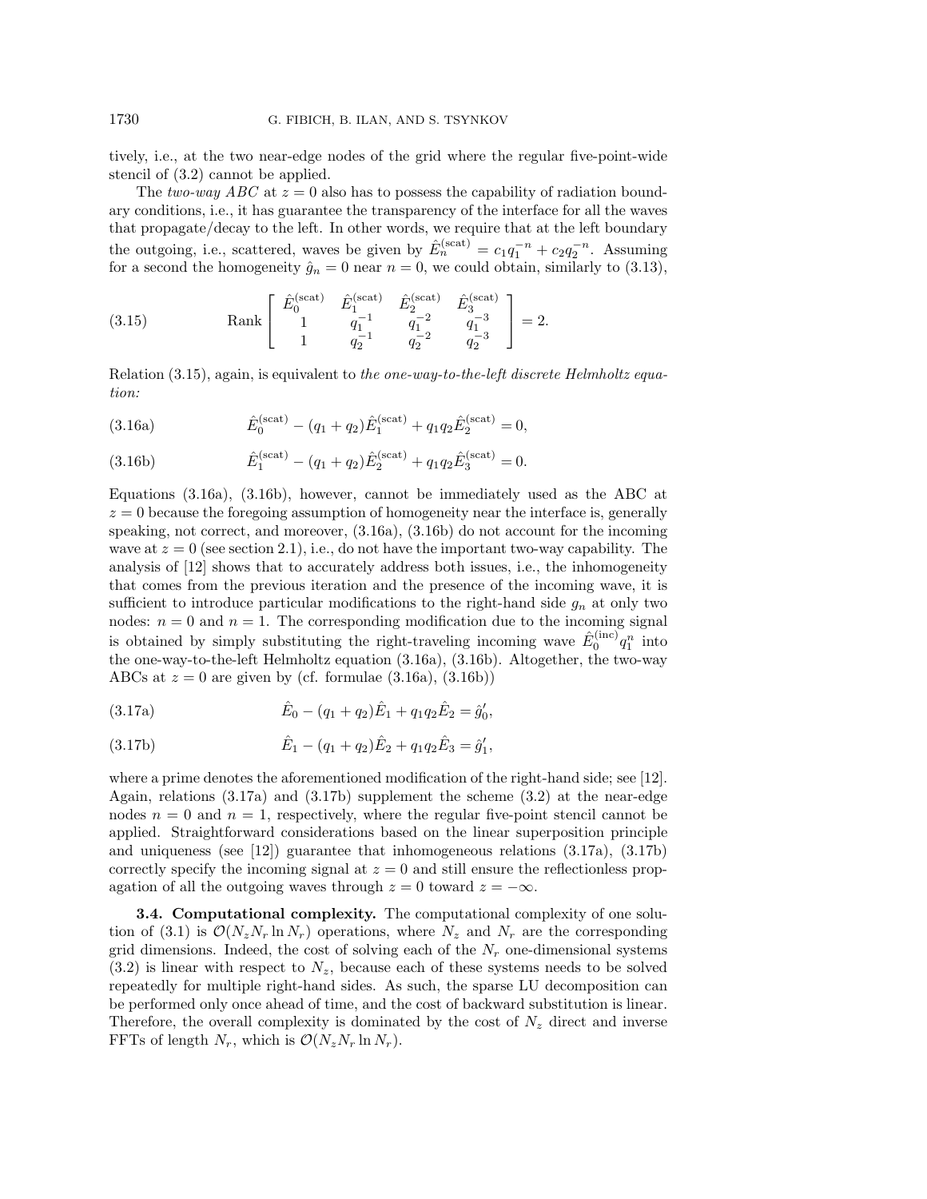tively, i.e., at the two near-edge nodes of the grid where the regular five-point-wide stencil of (3.2) cannot be applied.

The two-way ABC at  $z = 0$  also has to possess the capability of radiation boundary conditions, i.e., it has guarantee the transparency of the interface for all the waves that propagate/decay to the left. In other words, we require that at the left boundary the outgoing, i.e., scattered, waves be given by  $\hat{E}_n^{(\text{scat})} = c_1 q_1^{-n} + c_2 q_2^{-n}$ . Assuming for a second the homogeneity  $\hat{g}_n = 0$  near  $n = 0$ , we could obtain, similarly to (3.13),

(3.15) 
$$
\text{Rank}\left[\begin{array}{ccc} \hat{E}_0^{(\text{scat})} & \hat{E}_1^{(\text{scat})} & \hat{E}_2^{(\text{scat})} & \hat{E}_3^{(\text{scat})} \\ 1 & q_1^{-1} & q_1^{-2} & q_1^{-3} \\ 1 & q_2^{-1} & q_2^{-2} & q_2^{-3} \end{array}\right] = 2.
$$

Relation (3.15), again, is equivalent to the one-way-to-the-left discrete Helmholtz equation:

(3.16a) 
$$
\hat{E}_0^{(\text{scat})} - (q_1 + q_2)\hat{E}_1^{(\text{scat})} + q_1 q_2 \hat{E}_2^{(\text{scat})} = 0,
$$

(3.16b) 
$$
\hat{E}_1^{\text{(scat)}} - (q_1 + q_2) \hat{E}_2^{\text{(scat)}} + q_1 q_2 \hat{E}_3^{\text{(scat)}} = 0.
$$

Equations (3.16a), (3.16b), however, cannot be immediately used as the ABC at  $z = 0$  because the foregoing assumption of homogeneity near the interface is, generally speaking, not correct, and moreover, (3.16a), (3.16b) do not account for the incoming wave at  $z = 0$  (see section 2.1), i.e., do not have the important two-way capability. The analysis of [12] shows that to accurately address both issues, i.e., the inhomogeneity that comes from the previous iteration and the presence of the incoming wave, it is sufficient to introduce particular modifications to the right-hand side  $g_n$  at only two nodes:  $n = 0$  and  $n = 1$ . The corresponding modification due to the incoming signal is obtained by simply substituting the right-traveling incoming wave  $\hat{E}_0^{(\text{inc})}q_1^n$  into the one-way-to-the-left Helmholtz equation (3.16a), (3.16b). Altogether, the two-way ABCs at  $z = 0$  are given by (cf. formulae  $(3.16a)$ ,  $(3.16b)$ )

(3.17a) 
$$
\hat{E}_0 - (q_1 + q_2)\hat{E}_1 + q_1q_2\hat{E}_2 = \hat{g}'_0,
$$

(3.17b) 
$$
\hat{E}_1 - (q_1 + q_2)\hat{E}_2 + q_1q_2\hat{E}_3 = \hat{g}'_1,
$$

where a prime denotes the aforementioned modification of the right-hand side; see [12]. Again, relations (3.17a) and (3.17b) supplement the scheme (3.2) at the near-edge nodes  $n = 0$  and  $n = 1$ , respectively, where the regular five-point stencil cannot be applied. Straightforward considerations based on the linear superposition principle and uniqueness (see  $[12]$ ) guarantee that inhomogeneous relations  $(3.17a)$ ,  $(3.17b)$ correctly specify the incoming signal at  $z = 0$  and still ensure the reflectionless propagation of all the outgoing waves through  $z = 0$  toward  $z = -\infty$ .

**3.4. Computational complexity.** The computational complexity of one solution of (3.1) is  $\mathcal{O}(N_zN_r\ln N_r)$  operations, where  $N_z$  and  $N_r$  are the corresponding grid dimensions. Indeed, the cost of solving each of the  $N_r$  one-dimensional systems  $(3.2)$  is linear with respect to  $N_z$ , because each of these systems needs to be solved repeatedly for multiple right-hand sides. As such, the sparse LU decomposition can be performed only once ahead of time, and the cost of backward substitution is linear. Therefore, the overall complexity is dominated by the cost of  $N_z$  direct and inverse FFTs of length  $N_r$ , which is  $\mathcal{O}(N_zN_r \ln N_r)$ .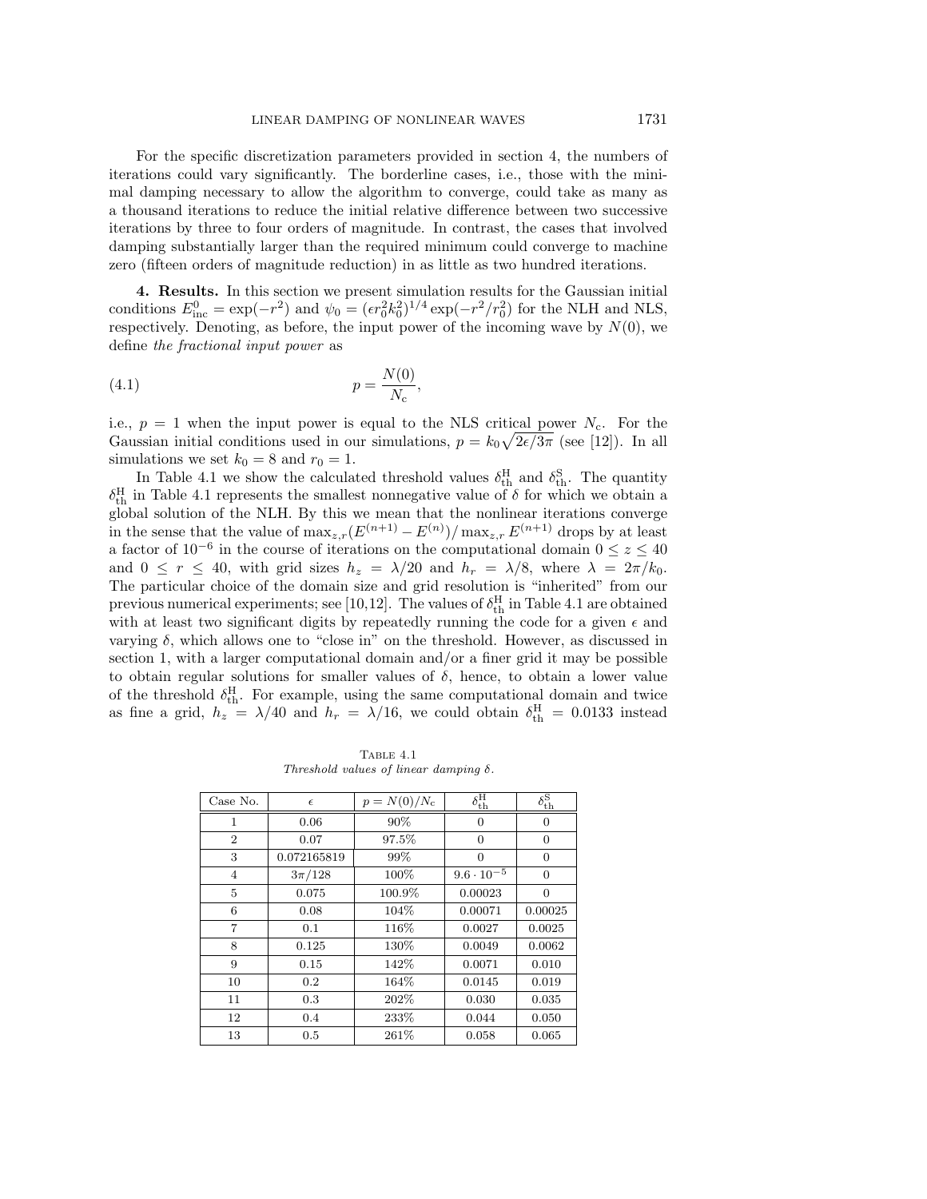For the specific discretization parameters provided in section 4, the numbers of iterations could vary significantly. The borderline cases, i.e., those with the minimal damping necessary to allow the algorithm to converge, could take as many as a thousand iterations to reduce the initial relative difference between two successive iterations by three to four orders of magnitude. In contrast, the cases that involved damping substantially larger than the required minimum could converge to machine zero (fifteen orders of magnitude reduction) in as little as two hundred iterations.

**4. Results.** In this section we present simulation results for the Gaussian initial conditions  $E_{\text{inc}}^0 = \exp(-r^2)$  and  $\psi_0 = (\epsilon r_0^2 k_0^2)^{1/4} \exp(-r^2/r_0^2)$  for the NLH and NLS, respectively. Denoting, as before, the input power of the incoming wave by  $N(0)$ , we define the fractional input power as

$$
(4.1) \t\t\t p = \frac{N(0)}{N_c},
$$

i.e.,  $p = 1$  when the input power is equal to the NLS critical power  $N_c$ . For the Gaussian initial conditions used in our simulations,  $p = k_0 \sqrt{2\epsilon/3\pi}$  (see [12]). In all simulations we set  $k_0 = 8$  and  $r_0 = 1$ .

In Table 4.1 we show the calculated threshold values  $\delta_{\text{th}}^{\text{H}}$  and  $\delta_{\text{th}}^{\text{S}}$ . The quantity  $\delta_{\text{th}}^{\text{H}}$  in Table 4.1 represents the smallest nonnegative value of  $\delta$  for which we obtain a global solution of the NLH. By this we mean that the nonlinear iterations converge in the sense that the value of  $\max_{z,r}(E^{(n+1)} - E^{(n)})/\max_{z,r} E^{(n+1)}$  drops by at least a factor of  $10^{-6}$  in the course of iterations on the computational domain  $0 \leq z \leq 40$ and  $0 \le r \le 40$ , with grid sizes  $h_z = \lambda/20$  and  $h_r = \lambda/8$ , where  $\lambda = 2\pi/k_0$ . The particular choice of the domain size and grid resolution is "inherited" from our previous numerical experiments; see [10,12]. The values of  $\delta_{\rm th}^{\rm H}$  in Table 4.1 are obtained with at least two significant digits by repeatedly running the code for a given  $\epsilon$  and varying  $\delta$ , which allows one to "close in" on the threshold. However, as discussed in section 1, with a larger computational domain and/or a finer grid it may be possible to obtain regular solutions for smaller values of  $\delta$ , hence, to obtain a lower value of the threshold  $\delta_{\text{th}}^{\text{H}}$ . For example, using the same computational domain and twice as fine a grid,  $h_z = \lambda/40$  and  $h_r = \lambda/16$ , we could obtain  $\delta_{\text{th}}^{\text{H}} = 0.0133$  instead

TABLE  $4.1$ Threshold values of linear damping  $\delta$ .

| Case No.       | $\epsilon$  | $p = N(0)/N_c$ | $\delta^{\overline{\mathrm{H}}}_{\mathrm{th}}$ | $\delta^{\overline{{\rm S}}}_{\rm th}$ |
|----------------|-------------|----------------|------------------------------------------------|----------------------------------------|
| 1              | 0.06        | 90%            | $\overline{0}$                                 | $\Omega$                               |
| $\overline{2}$ | 0.07        | 97.5%          | $\overline{0}$                                 | 0                                      |
| 3              | 0.072165819 | 99%            | $\overline{0}$                                 | $\Omega$                               |
| $\overline{4}$ | $3\pi/128$  | 100%           | $9.6 \cdot 10^{-5}$                            | $\Omega$                               |
| 5              | 0.075       | 100.9%         | 0.00023                                        | $\Omega$                               |
| 6              | 0.08        | 104\%          | 0.00071                                        | 0.00025                                |
| 7              | 0.1         | 116\%          | 0.0027                                         | 0.0025                                 |
| 8              | 0.125       | 130%           | 0.0049                                         | 0.0062                                 |
| 9              | 0.15        | 142%           | 0.0071                                         | 0.010                                  |
| 10             | 0.2         | 164%           | 0.0145                                         | 0.019                                  |
| 11             | 0.3         | 202\%          | 0.030                                          | 0.035                                  |
| 12             | 0.4         | 233%           | 0.044                                          | 0.050                                  |
| 13             | 0.5         | 261%           | 0.058                                          | 0.065                                  |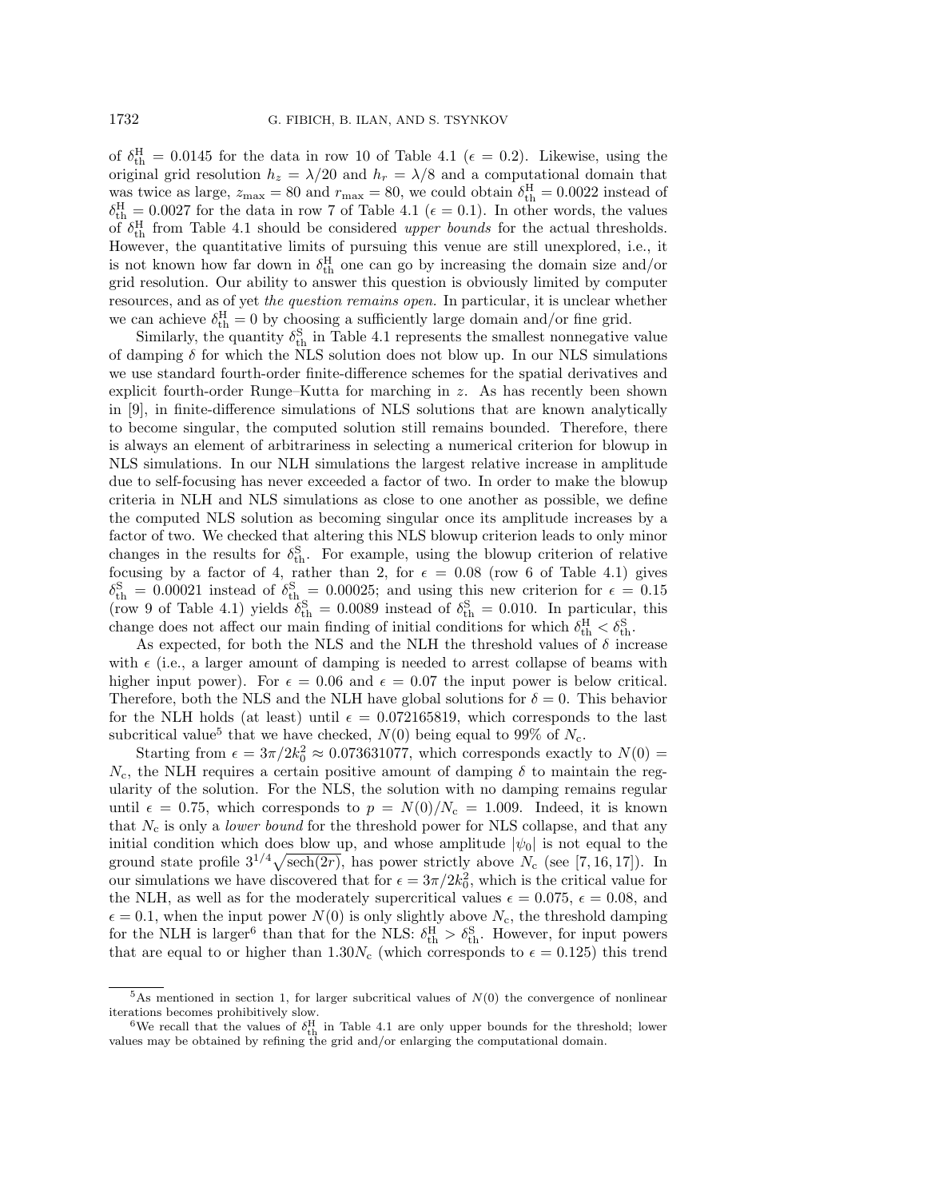of  $\delta_{\text{th}}^{\text{H}} = 0.0145$  for the data in row 10 of Table 4.1 ( $\epsilon = 0.2$ ). Likewise, using the original grid resolution  $h_z = \lambda/20$  and  $h_r = \lambda/8$  and a computational domain that was twice as large,  $z_{\text{max}} = 80$  and  $r_{\text{max}} = 80$ , we could obtain  $\delta_{\text{th}}^{\text{H}} = 0.0022$  instead of  $\delta_{\text{th}}^{\text{H}} = 0.0027$  for the data in row 7 of Table 4.1 ( $\epsilon = 0.1$ ). In other words, the values of  $\delta_{\text{th}}^{\text{H}}$  from Table 4.1 should be considered upper bounds for the actual thresholds. However, the quantitative limits of pursuing this venue are still unexplored, i.e., it is not known how far down in  $\delta_{\text{th}}^{\text{H}}$  one can go by increasing the domain size and/or grid resolution. Our ability to answer this question is obviously limited by computer resources, and as of yet the question remains open. In particular, it is unclear whether we can achieve  $\delta_{\text{th}}^{\text{H}} = 0$  by choosing a sufficiently large domain and/or fine grid.

Similarly, the quantity  $\delta_{\rm th}^{\rm S}$  in Table 4.1 represents the smallest nonnegative value of damping  $\delta$  for which the NLS solution does not blow up. In our NLS simulations we use standard fourth-order finite-difference schemes for the spatial derivatives and explicit fourth-order Runge–Kutta for marching in  $z$ . As has recently been shown in [9], in finite-difference simulations of NLS solutions that are known analytically to become singular, the computed solution still remains bounded. Therefore, there is always an element of arbitrariness in selecting a numerical criterion for blowup in NLS simulations. In our NLH simulations the largest relative increase in amplitude due to self-focusing has never exceeded a factor of two. In order to make the blowup criteria in NLH and NLS simulations as close to one another as possible, we define the computed NLS solution as becoming singular once its amplitude increases by a factor of two. We checked that altering this NLS blowup criterion leads to only minor changes in the results for  $\delta_{\text{th}}^{\text{S}}$ . For example, using the blowup criterion of relative focusing by a factor of 4, rather than 2, for  $\epsilon = 0.08$  (row 6 of Table 4.1) gives  $\delta_{\text{th}}^{\text{S}} = 0.00021$  instead of  $\delta_{\text{th}}^{\text{S}} = 0.00025$ ; and using this new criterion for  $\epsilon = 0.15$ (row 9 of Table 4.1) yields  $\delta_{\text{th}}^{\text{S}} = 0.0089$  instead of  $\delta_{\text{th}}^{\text{S}} = 0.010$ . In particular, this change does not affect our main finding of initial conditions for which  $\delta_{\rm th}^{\rm H} < \delta_{\rm th}^{\rm S}$ .

As expected, for both the NLS and the NLH the threshold values of  $\delta$  increase with  $\epsilon$  (i.e., a larger amount of damping is needed to arrest collapse of beams with higher input power). For  $\epsilon = 0.06$  and  $\epsilon = 0.07$  the input power is below critical. Therefore, both the NLS and the NLH have global solutions for  $\delta = 0$ . This behavior for the NLH holds (at least) until  $\epsilon = 0.072165819$ , which corresponds to the last subcritical value<sup>5</sup> that we have checked,  $N(0)$  being equal to 99% of  $N_c$ .

Starting from  $\epsilon = 3\pi/2k_0^2 \approx 0.073631077$ , which corresponds exactly to  $N(0) =$  $N_c$ , the NLH requires a certain positive amount of damping  $\delta$  to maintain the regularity of the solution. For the NLS, the solution with no damping remains regular until  $\epsilon = 0.75$ , which corresponds to  $p = N(0)/N_c = 1.009$ . Indeed, it is known that  $N_c$  is only a *lower bound* for the threshold power for NLS collapse, and that any initial condition which does blow up, and whose amplitude  $|\psi_0|$  is not equal to the ground state profile  $3^{1/4}\sqrt{\text{sech}(2r)}$ , has power strictly above  $N_c$  (see [7, 16, 17]). In our simulations we have discovered that for  $\epsilon = 3\pi/2k_0^2$ , which is the critical value for the NLH, as well as for the moderately supercritical values  $\epsilon = 0.075$ ,  $\epsilon = 0.08$ , and  $\epsilon = 0.1$ , when the input power  $N(0)$  is only slightly above  $N_c$ , the threshold damping for the NLH is larger<sup>6</sup> than that for the NLS:  $\delta_{\text{th}}^{\text{H}} > \delta_{\text{th}}^{\text{S}}$ . However, for input powers that are equal to or higher than  $1.30N_c$  (which corresponds to  $\epsilon = 0.125$ ) this trend

<sup>&</sup>lt;sup>5</sup>As mentioned in section 1, for larger subcritical values of  $N(0)$  the convergence of nonlinear iterations becomes prohibitively slow.

<sup>&</sup>lt;sup>6</sup>We recall that the values of  $\delta_{\text{th}}^{\text{H}}$  in Table 4.1 are only upper bounds for the threshold; lower values may be obtained by refining the grid and/or enlarging the computational domain.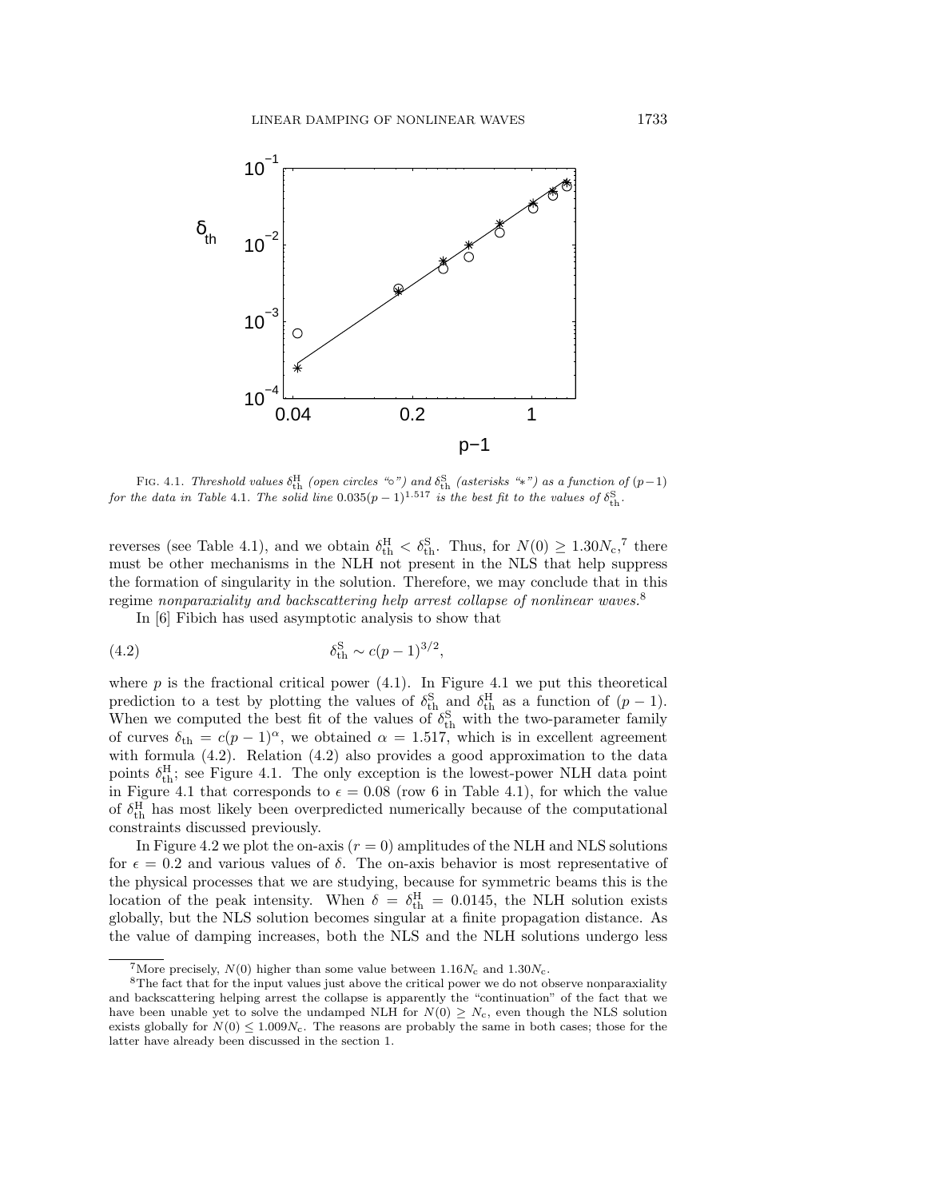

FIG. 4.1. Threshold values  $\delta_{\text{th}}^{\text{H}}$  (open circles "∘") and  $\delta_{\text{th}}^{\text{S}}$  (asterisks "\*") as a function of  $(p-1)$ for the data in Table 4.1. The solid line  $0.035(p-1)^{1.517}$  is the best fit to the values of  $\delta_{\text{th}}^{\text{S}}$ .

reverses (see Table 4.1), and we obtain  $\delta_{\text{th}}^{\text{H}} < \delta_{\text{th}}^{\text{S}}$ . Thus, for  $N(0) \geq 1.30 N_c$ ,<sup>7</sup> there must be other mechanisms in the NLH not present in the NLS that help suppress the formation of singularity in the solution. Therefore, we may conclude that in this regime nonparaxiality and backscattering help arrest collapse of nonlinear waves.<sup>8</sup>

In [6] Fibich has used asymptotic analysis to show that

(4.2) 
$$
\delta_{\text{th}}^{\text{S}} \sim c(p-1)^{3/2},
$$

where  $p$  is the fractional critical power  $(4.1)$ . In Figure 4.1 we put this theoretical prediction to a test by plotting the values of  $\delta_{\text{th}}^{\text{S}}$  and  $\delta_{\text{th}}^{\text{H}}$  as a function of  $(p-1)$ . When we computed the best fit of the values of  $\delta_{\text{th}}^{\text{S}}$  with the two-parameter family of curves  $\delta_{\text{th}} = c(p-1)^\alpha$ , we obtained  $\alpha = 1.517$ , which is in excellent agreement with formula (4.2). Relation (4.2) also provides a good approximation to the data points  $\delta_{\text{th}}^{\text{H}}$ ; see Figure 4.1. The only exception is the lowest-power NLH data point in Figure 4.1 that corresponds to  $\epsilon = 0.08$  (row 6 in Table 4.1), for which the value of  $\delta_{\text{th}}^{\text{H}}$  has most likely been overpredicted numerically because of the computational constraints discussed previously.

In Figure 4.2 we plot the on-axis  $(r = 0)$  amplitudes of the NLH and NLS solutions for  $\epsilon = 0.2$  and various values of  $\delta$ . The on-axis behavior is most representative of the physical processes that we are studying, because for symmetric beams this is the location of the peak intensity. When  $\delta = \delta_{\text{th}}^{\text{H}} = 0.0145$ , the NLH solution exists globally, but the NLS solution becomes singular at a finite propagation distance. As the value of damping increases, both the NLS and the NLH solutions undergo less

<sup>&</sup>lt;sup>7</sup>More precisely,  $N(0)$  higher than some value between  $1.16N_c$  and  $1.30N_c$ .<br><sup>8</sup>The fact that for the input values just above the critical power we do not observe nonparaxiality and backscattering helping arrest the collapse is apparently the "continuation" of the fact that we have been unable yet to solve the undamped NLH for  $N(0) \geq N_c$ , even though the NLS solution exists globally for  $N(0) \le 1.009 N_c$ . The reasons are probably the same in both cases; those for the latter have already been discussed in the section 1.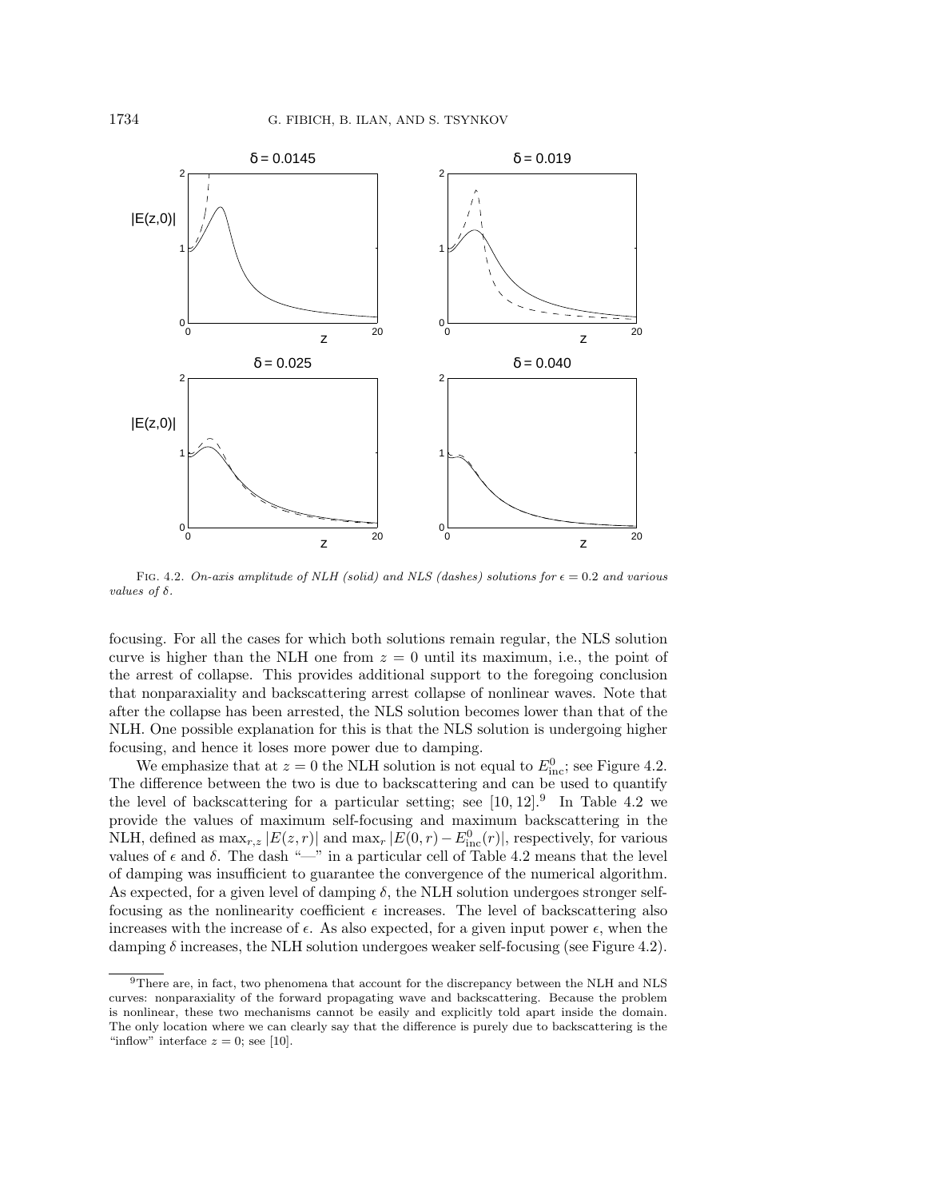

FIG. 4.2. On-axis amplitude of NLH (solid) and NLS (dashes) solutions for  $\epsilon = 0.2$  and various values of  $\delta$ .

focusing. For all the cases for which both solutions remain regular, the NLS solution curve is higher than the NLH one from  $z = 0$  until its maximum, i.e., the point of the arrest of collapse. This provides additional support to the foregoing conclusion that nonparaxiality and backscattering arrest collapse of nonlinear waves. Note that after the collapse has been arrested, the NLS solution becomes lower than that of the NLH. One possible explanation for this is that the NLS solution is undergoing higher focusing, and hence it loses more power due to damping.

We emphasize that at  $z = 0$  the NLH solution is not equal to  $E_{\text{inc}}^0$ ; see Figure 4.2. The difference between the two is due to backscattering and can be used to quantify the level of backscattering for a particular setting; see  $[10, 12]$ . In Table 4.2 we provide the values of maximum self-focusing and maximum backscattering in the NLH, defined as  $\max_{r,z} |E(z,r)|$  and  $\max_r |E(0,r) - E_{\text{inc}}^0(r)|$ , respectively, for various values of  $\epsilon$  and  $\delta$ . The dash "—" in a particular cell of Table 4.2 means that the level of damping was insufficient to guarantee the convergence of the numerical algorithm. As expected, for a given level of damping  $\delta$ , the NLH solution undergoes stronger selffocusing as the nonlinearity coefficient  $\epsilon$  increases. The level of backscattering also increases with the increase of  $\epsilon$ . As also expected, for a given input power  $\epsilon$ , when the damping  $\delta$  increases, the NLH solution undergoes weaker self-focusing (see Figure 4.2).

<sup>9</sup>There are, in fact, two phenomena that account for the discrepancy between the NLH and NLS curves: nonparaxiality of the forward propagating wave and backscattering. Because the problem is nonlinear, these two mechanisms cannot be easily and explicitly told apart inside the domain. The only location where we can clearly say that the difference is purely due to backscattering is the "inflow" interface  $z = 0$ ; see [10].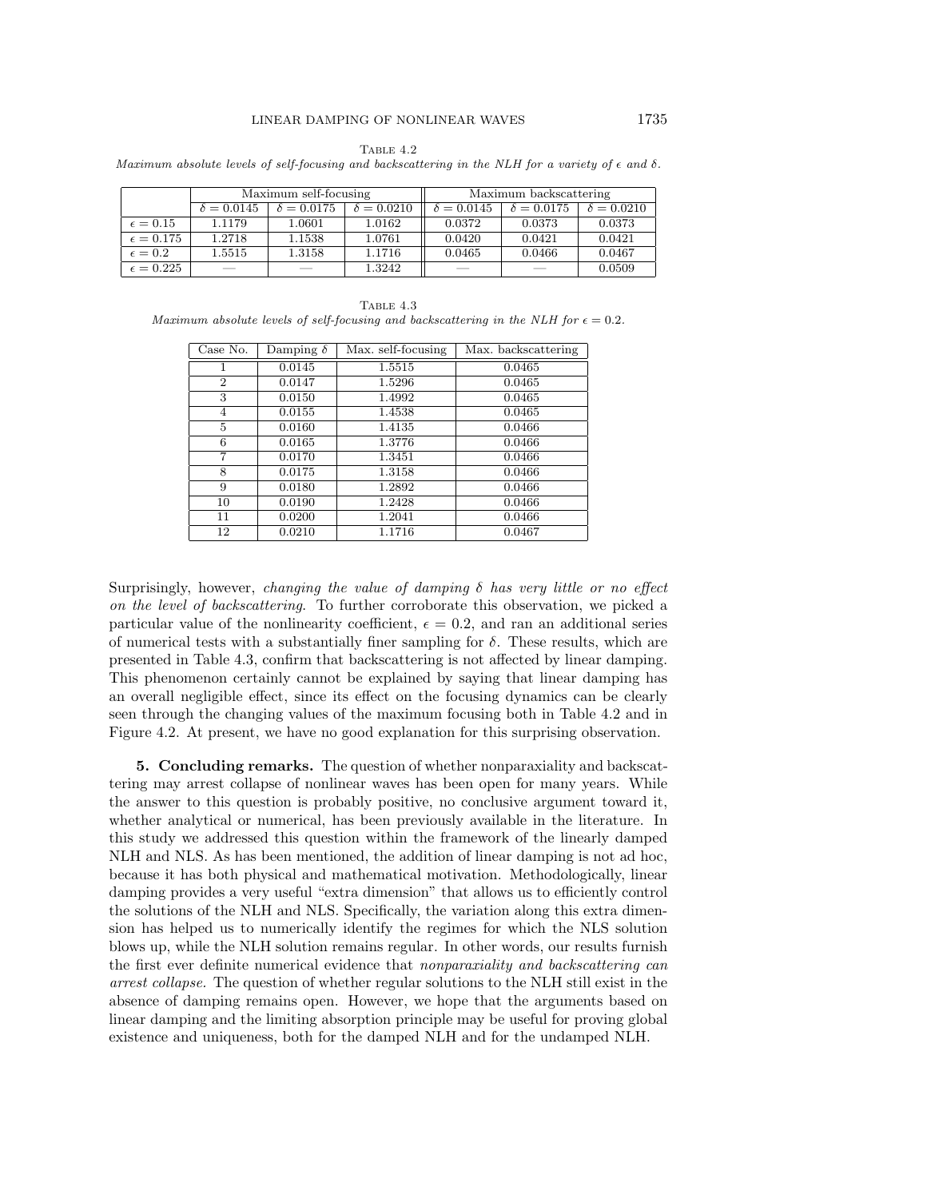Table 4.2

Maximum absolute levels of self-focusing and backscattering in the NLH for a variety of  $\epsilon$  and  $\delta$ .

|                    |                   | Maximum self-focusing |                   | Maximum backscattering |                   |                   |
|--------------------|-------------------|-----------------------|-------------------|------------------------|-------------------|-------------------|
|                    | $\delta = 0.0145$ | $\delta = 0.0175$     | $\delta = 0.0210$ | $\delta = 0.0145$      | $\delta = 0.0175$ | $\delta = 0.0210$ |
| $\epsilon = 0.15$  | 1.1179            | 1.0601                | 1.0162            | 0.0372                 | 0.0373            | 0.0373            |
| $\epsilon = 0.175$ | 1.2718            | 1.1538                | 1.0761            | 0.0420                 | 0.0421            | 0.0421            |
| $\epsilon=0.2$     | 1.5515            | 1.3158                | 1.1716            | 0.0465                 | 0.0466            | 0.0467            |
| $\epsilon = 0.225$ |                   |                       | 1.3242            |                        |                   | 0.0509            |

TABLE 4.3 Maximum absolute levels of self-focusing and backscattering in the NLH for  $\epsilon = 0.2$ .

| Case No.       | Damping $\delta$ | Max. self-focusing | Max. backscattering |
|----------------|------------------|--------------------|---------------------|
| 1              | 0.0145           | 1.5515             | 0.0465              |
| $\overline{2}$ | 0.0147           | 1.5296             | 0.0465              |
| 3              | 0.0150           | 1.4992             | 0.0465              |
| 4              | 0.0155           | 1.4538             | 0.0465              |
| 5              | 0.0160           | 1.4135             | 0.0466              |
| 6              | 0.0165           | 1.3776             | 0.0466              |
| 7              | 0.0170           | 1.3451             | 0.0466              |
| 8              | 0.0175           | 1.3158             | 0.0466              |
| 9              | 0.0180           | 1.2892             | 0.0466              |
| 10             | 0.0190           | 1.2428             | 0.0466              |
| 11             | 0.0200           | 1.2041             | 0.0466              |
| 12             | 0.0210           | 1.1716             | 0.0467              |

Surprisingly, however, *changing the value of damping*  $\delta$  *has very little or no effect* on the level of backscattering. To further corroborate this observation, we picked a particular value of the nonlinearity coefficient,  $\epsilon = 0.2$ , and ran an additional series of numerical tests with a substantially finer sampling for  $\delta$ . These results, which are presented in Table 4.3, confirm that backscattering is not affected by linear damping. This phenomenon certainly cannot be explained by saying that linear damping has an overall negligible effect, since its effect on the focusing dynamics can be clearly seen through the changing values of the maximum focusing both in Table 4.2 and in Figure 4.2. At present, we have no good explanation for this surprising observation.

**5. Concluding remarks.** The question of whether nonparaxiality and backscattering may arrest collapse of nonlinear waves has been open for many years. While the answer to this question is probably positive, no conclusive argument toward it, whether analytical or numerical, has been previously available in the literature. In this study we addressed this question within the framework of the linearly damped NLH and NLS. As has been mentioned, the addition of linear damping is not ad hoc, because it has both physical and mathematical motivation. Methodologically, linear damping provides a very useful "extra dimension" that allows us to efficiently control the solutions of the NLH and NLS. Specifically, the variation along this extra dimension has helped us to numerically identify the regimes for which the NLS solution blows up, while the NLH solution remains regular. In other words, our results furnish the first ever definite numerical evidence that nonparaxiality and backscattering can arrest collapse. The question of whether regular solutions to the NLH still exist in the absence of damping remains open. However, we hope that the arguments based on linear damping and the limiting absorption principle may be useful for proving global existence and uniqueness, both for the damped NLH and for the undamped NLH.